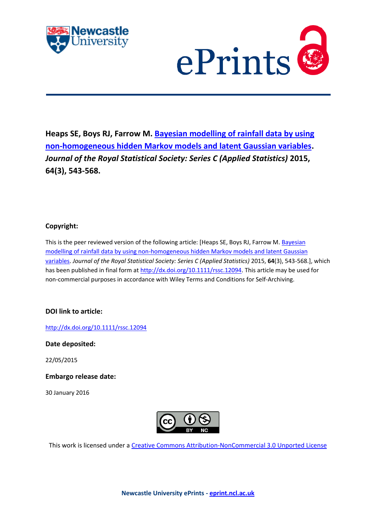



**Heaps SE, Boys RJ, Farrow M. [Bayesian modelling of rainfall data by using](javascript:ViewPublication(208057);)  [non-homogeneous hidden Markov models and latent Gaussian variables.](javascript:ViewPublication(208057);)**  *Journal of the Royal Statistical Society: Series C (Applied Statistics)* **2015, 64(3), 543-568.**

# **Copyright:**

This is the peer reviewed version of the following article: [Heaps SE, Boys RJ, Farrow M. [Bayesian](javascript:ViewPublication(208057);)  [modelling of rainfall data by using non-homogeneous hidden Markov models and latent Gaussian](javascript:ViewPublication(208057);)  [variables.](javascript:ViewPublication(208057);) *Journal of the Royal Statistical Society: Series C (Applied Statistics)* 2015, **64**(3), 543-568.], which has been published in final form a[t http://dx.doi.org/10.1111/rssc.12094.](http://dx.doi.org/10.1111/rssc.12094) This article may be used for non-commercial purposes in accordance with Wiley Terms and Conditions for Self-Archiving.

# **DOI link to article:**

<http://dx.doi.org/10.1111/rssc.12094>

**Date deposited:** 

22/05/2015

**Embargo release date:**

30 January 2016



This work is licensed under a [Creative Commons Attribution-NonCommercial 3.0 Unported License](http://creativecommons.org/licenses/by-nc/3.0/deed.en_GB)

**Newcastle University ePrints - [eprint.ncl.ac.uk](http://eprint.ncl.ac.uk/)**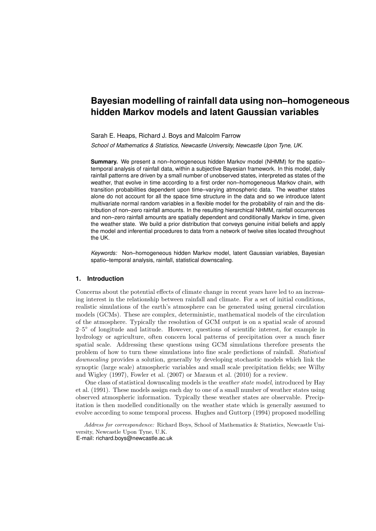# **Bayesian modelling of rainfall data using non–homogeneous hidden Markov models and latent Gaussian variables**

#### Sarah E. Heaps, Richard J. Boys and Malcolm Farrow

*School of Mathematics & Statistics, Newcastle University, Newcastle Upon Tyne, UK.*

**Summary.** We present a non–homogeneous hidden Markov model (NHMM) for the spatio– temporal analysis of rainfall data, within a subjective Bayesian framework. In this model, daily rainfall patterns are driven by a small number of unobserved states, interpreted as states of the weather, that evolve in time according to a first order non–homogeneous Markov chain, with transition probabilities dependent upon time–varying atmospheric data. The weather states alone do not account for all the space time structure in the data and so we introduce latent multivariate normal random variables in a flexible model for the probability of rain and the distribution of non–zero rainfall amounts. In the resulting hierarchical NHMM, rainfall occurrences and non–zero rainfall amounts are spatially dependent and conditionally Markov in time, given the weather state. We build a prior distribution that conveys genuine initial beliefs and apply the model and inferential procedures to data from a network of twelve sites located throughout the UK.

*Keywords:* Non–homogeneous hidden Markov model, latent Gaussian variables, Bayesian spatio–temporal analysis, rainfall, statistical downscaling.

# **1. Introduction**

Concerns about the potential effects of climate change in recent years have led to an increasing interest in the relationship between rainfall and climate. For a set of initial conditions, realistic simulations of the earth's atmosphere can be generated using general circulation models (GCMs). These are complex, deterministic, mathematical models of the circulation of the atmosphere. Typically the resolution of GCM output is on a spatial scale of around 2–5○ of longitude and latitude. However, questions of scientific interest, for example in hydrology or agriculture, often concern local patterns of precipitation over a much finer spatial scale. Addressing these questions using GCM simulations therefore presents the problem of how to turn these simulations into fine scale predictions of rainfall. *Statistical downscaling* provides a solution, generally by developing stochastic models which link the synoptic (large scale) atmospheric variables and small scale precipitation fields; see Wilby and Wigley (1997), Fowler et al. (2007) or Maraun et al. (2010) for a review.

One class of statistical downscaling models is the *weather state model*, introduced by Hay et al. (1991). These models assign each day to one of a small number of weather states using observed atmospheric information. Typically these weather states are observable. Precipitation is then modelled conditionally on the weather state which is generally assumed to evolve according to some temporal process. Hughes and Guttorp (1994) proposed modelling

Address for correspondence: Richard Boys, School of Mathematics & Statistics, Newcastle University, Newcastle Upon Tyne, U.K. E-mail: richard.boys@newcastle.ac.uk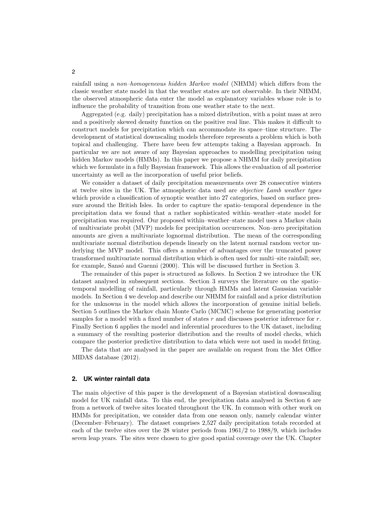rainfall using a *non–homogeneous hidden Markov model* (NHMM) which differs from the classic weather state model in that the weather states are not observable. In their NHMM, the observed atmospheric data enter the model as explanatory variables whose role is to influence the probability of transition from one weather state to the next.

Aggregated (e.g. daily) precipitation has a mixed distribution, with a point mass at zero and a positively skewed density function on the positive real line. This makes it difficult to construct models for precipitation which can accommodate its space–time structure. The development of statistical downscaling models therefore represents a problem which is both topical and challenging. There have been few attempts taking a Bayesian approach. In particular we are not aware of any Bayesian approaches to modelling precipitation using hidden Markov models (HMMs). In this paper we propose a NHMM for daily precipitation which we formulate in a fully Bayesian framework. This allows the evaluation of all posterior uncertainty as well as the incorporation of useful prior beliefs.

We consider a dataset of daily precipitation measurements over 28 consecutive winters at twelve sites in the UK. The atmospheric data used are *objective Lamb weather types* which provide a classification of synoptic weather into 27 categories, based on surface pressure around the British Isles. In order to capture the spatio–temporal dependence in the precipitation data we found that a rather sophisticated within–weather–state model for precipitation was required. Our proposed within–weather–state model uses a Markov chain of multivariate probit (MVP) models for precipitation occurrences. Non–zero precipitation amounts are given a multivariate lognormal distribution. The mean of the corresponding multivariate normal distribution depends linearly on the latent normal random vector underlying the MVP model. This offers a number of advantages over the truncated power transformed multivariate normal distribution which is often used for multi–site rainfall; see, for example, Sansó and Guenni (2000). This will be discussed further in Section 3.

The remainder of this paper is structured as follows. In Section 2 we introduce the UK dataset analysed in subsequent sections. Section 3 surveys the literature on the spatio– temporal modelling of rainfall, particularly through HMMs and latent Gaussian variable models. In Section 4 we develop and describe our NHMM for rainfall and a prior distribution for the unknowns in the model which allows the incorporation of genuine initial beliefs. Section 5 outlines the Markov chain Monte Carlo (MCMC) scheme for generating posterior samples for a model with a fixed number of states r and discusses posterior inference for r. Finally Section 6 applies the model and inferential procedures to the UK dataset, including a summary of the resulting posterior distribution and the results of model checks, which compare the posterior predictive distribution to data which were not used in model fitting.

The data that are analysed in the paper are available on request from the Met Office MIDAS database (2012).

# **2. UK winter rainfall data**

The main objective of this paper is the development of a Bayesian statistical downscaling model for UK rainfall data. To this end, the precipitation data analysed in Section 6 are from a network of twelve sites located throughout the UK. In common with other work on HMMs for precipitation, we consider data from one season only, namely calendar winter (December–February). The dataset comprises 2,527 daily precipitation totals recorded at each of the twelve sites over the 28 winter periods from 1961/2 to 1988/9, which includes seven leap years. The sites were chosen to give good spatial coverage over the UK. Chapter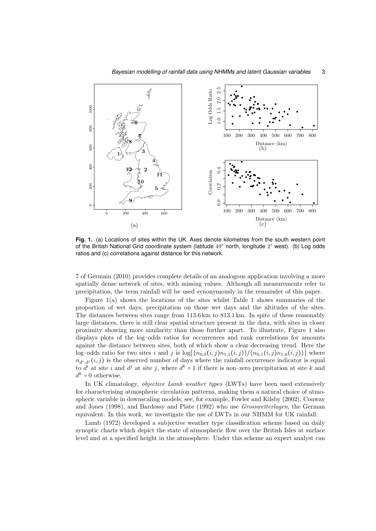

**Fig. 1.** (a) Locations of sites within the UK. Axes denote kilometres from the south western point of the British National Grid coordinate system (latitude 49° north, longitude 2° west). (b) Log odds ratios and (c) correlations against distance for this network.

7 of Germain (2010) provides complete details of an analogous application involving a more spatially dense network of sites, with missing values. Although all measurements refer to precipitation, the term rainfall will be used synonymously in the remainder of this paper.

Figure 1(a) shows the locations of the sites whilst Table 1 shows summaries of the proportion of wet days, precipitation on those wet days and the altitudes of the sites. The distances between sites range from 113.6 km to 813.1 km. In spite of these reasonably large distances, there is still clear spatial structure present in the data, with sites in closer proximity showing more similarity than those further apart. To illustrate, Figure 1 also displays plots of the log–odds ratios for occurrences and rank correlations for amounts against the distance between sites, both of which show a clear decreasing trend. Here the log–odds ratio for two sites i and j is  $\log[{n_{0,0}(i,j)n_{1,1}(i,j)}/{n_{0,1}(i,j)n_{1,0}(i,j)}]$  where  $n_{d_i,d_j}(i,j)$  is the observed number of days where the rainfall occurrence indicator is equal to  $d^i$  at site i and  $d^j$  at site j, where  $d^k = 1$  if there is non-zero precipitation at site k and  $d^k = 0$  otherwise.

In UK climatology, *objective Lamb weather types* (LWTs) have been used extensively for characterising atmospheric circulation patterns, making them a natural choice of atmospheric variable in downscaling models; see, for example, Fowler and Kilsby (2002), Conway and Jones (1998), and Bardossy and Plate (1992) who use *Grosswetterlagen*, the German equivalent. In this work, we investigate the use of LWTs in our NHMM for UK rainfall.

Lamb (1972) developed a subjective weather type classification scheme based on daily synoptic charts which depict the state of atmospheric flow over the British Isles at surface level and at a specified height in the atmosphere. Under this scheme an expert analyst can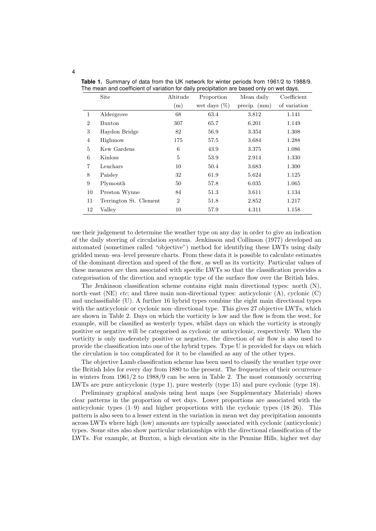|                | Site                   | Altitude       | Proportion      | Mean daily     | Coefficient  |
|----------------|------------------------|----------------|-----------------|----------------|--------------|
|                |                        | (m)            | wet days $(\%)$ | precip. $(mm)$ | of variation |
| $\mathbf{1}$   | Aldergrove             | 68             | 63.4            | 3.812          | 1.141        |
| $\overline{2}$ | Buxton                 | 307            | 65.7            | 6.201          | 1.149        |
| 3              | Haydon Bridge          | 82             | 56.9            | 3.354          | 1.308        |
| $\overline{4}$ | Highmow                | 175            | 57.5            | 3.684          | 1.288        |
| 5              | Kew Gardens            | 6              | 43.9            | 3.375          | 1.086        |
| 6              | Kinloss                | 5              | 53.9            | 2.914          | 1.330        |
| $\overline{7}$ | Leuchars               | 10             | 50.4            | 3.683          | 1.300        |
| 8              | Paisley                | 32             | 61.9            | 5.624          | 1.125        |
| 9              | Plymouth               | 50             | 57.8            | 6.035          | 1.065        |
| 10             | Preston Wynne          | 84             | 51.3            | 3.611          | 1.134        |
| 11             | Terrington St. Clement | $\overline{2}$ | 51.8            | 2.852          | 1.217        |
| 12             | Valley                 | 10             | 57.9            | 4.311          | 1.158        |

**Table 1.** Summary of data from the UK network for winter periods from 1961/2 to 1988/9. The mean and coefficient of variation for daily precipitation are based only on wet days.

use their judgement to determine the weather type on any day in order to give an indication of the daily steering of circulation systems. Jenkinson and Collinson (1977) developed an automated (sometimes called "objective") method for identifying these LWTs using daily gridded mean–sea–level pressure charts. From these data it is possible to calculate estimates of the dominant direction and speed of the flow, as well as its vorticity. Particular values of these measures are then associated with specific LWTs so that the classification provides a categorisation of the direction and synoptic type of the surface flow over the British Isles.

The Jenkinson classification scheme contains eight main directional types: north (N), north–east (NE) *etc*; and three main non-directional types: anticyclonic (A), cyclonic (C) and unclassifiable (U). A further 16 hybrid types combine the eight main directional types with the anticyclonic or cyclonic non-directional type. This gives 27 objective LWTs, which are shown in Table 2. Days on which the vorticity is low and the flow is from the west, for example, will be classified as westerly types, whilst days on which the vorticity is strongly positive or negative will be categorised as cyclonic or anticyclonic, respectively. When the vorticity is only moderately positive or negative, the direction of air flow is also used to provide the classification into one of the hybrid types. Type U is provided for days on which the circulation is too complicated for it to be classified as any of the other types.

The objective Lamb classification scheme has been used to classify the weather type over the British Isles for every day from 1880 to the present. The frequencies of their occurrence in winters from 1961/2 to 1988/9 can be seen in Table 2. The most commonly occurring LWTs are pure anticyclonic (type 1), pure westerly (type 15) and pure cyclonic (type 18).

Preliminary graphical analysis using heat maps (see Supplementary Materials) shows clear patterns in the proportion of wet days. Lower proportions are associated with the anticyclonic types  $(1-9)$  and higher proportions with the cyclonic types  $(18-26)$ . This pattern is also seen to a lesser extent in the variation in mean wet day precipitation amounts across LWTs where high (low) amounts are typically associated with cyclonic (anticyclonic) types. Some sites also show particular relationships with the directional classification of the LWTs. For example, at Buxton, a high elevation site in the Pennine Hills, higher wet day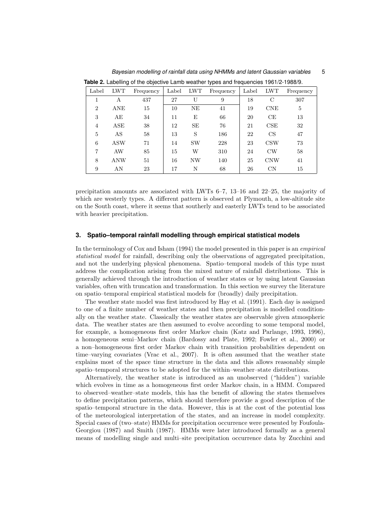| Label          | ~<br><b>LWT</b> | Frequency | Label | <b>LWT</b> | . .<br>Frequency | Label | <b>LWT</b>    | Frequency |
|----------------|-----------------|-----------|-------|------------|------------------|-------|---------------|-----------|
|                | А               | 437       | 27    | U          | 9                | 18    | $\mathcal{C}$ | 307       |
| $\overline{2}$ | ANE             | 15        | 10    | NE         | 41               | 19    | <b>CNE</b>    | 5         |
| 3              | AE              | 34        | 11    | E          | 66               | 20    | CE            | 13        |
| $\overline{4}$ | ASE             | 38        | 12    | SE         | 76               | 21    | CSE           | 32        |
| 5              | AS              | 58        | 13    | S          | 186              | 22    | CS            | 47        |
| 6              | <b>ASW</b>      | 71        | 14    | <b>SW</b>  | 228              | 23    | <b>CSW</b>    | 73        |
| 7              | AW              | 85        | 15    | W          | 310              | 24    | $\mathrm{CW}$ | 58        |
| 8              | ANW             | 51        | 16    | <b>NW</b>  | 140              | 25    | <b>CNW</b>    | 41        |
| 9              | AN              | 23        | 17    | N          | 68               | 26    | $\mathrm{CN}$ | 15        |

**Table 2.** Labelling of the objective Lamb weather types and frequencies 1961/2-1988/9.

*Bayesian modelling of rainfall data using NHMMs and latent Gaussian variables* 5

precipitation amounts are associated with LWTs 6–7, 13–16 and 22–25, the majority of which are westerly types. A different pattern is observed at Plymouth, a low-altitude site on the South coast, where it seems that southerly and easterly LWTs tend to be associated with heavier precipitation.

#### **3. Spatio–temporal rainfall modelling through empirical statistical models**

In the terminology of Cox and Isham (1994) the model presented in this paper is an *empirical statistical model* for rainfall, describing only the observations of aggregated precipitation, and not the underlying physical phenomena. Spatio–temporal models of this type must address the complication arising from the mixed nature of rainfall distributions. This is generally achieved through the introduction of weather states or by using latent Gaussian variables, often with truncation and transformation. In this section we survey the literature on spatio–temporal empirical statistical models for (broadly) daily precipitation.

The weather state model was first introduced by Hay et al. (1991). Each day is assigned to one of a finite number of weather states and then precipitation is modelled conditionally on the weather state. Classically the weather states are observable given atmospheric data. The weather states are then assumed to evolve according to some temporal model, for example, a homogeneous first order Markov chain (Katz and Parlange, 1993, 1996), a homogeneous semi–Markov chain (Bardossy and Plate, 1992; Fowler et al., 2000) or a non–homogeneous first order Markov chain with transition probabilities dependent on time–varying covariates (Vrac et al., 2007). It is often assumed that the weather state explains most of the space time structure in the data and this allows reasonably simple spatio–temporal structures to be adopted for the within–weather–state distributions.

Alternatively, the weather state is introduced as an unobserved ("hidden") variable which evolves in time as a homogeneous first order Markov chain, in a HMM. Compared to observed–weather–state models, this has the benefit of allowing the states themselves to define precipitation patterns, which should therefore provide a good description of the spatio–temporal structure in the data. However, this is at the cost of the potential loss of the meteorological interpretation of the states, and an increase in model complexity. Special cases of (two–state) HMMs for precipitation occurrence were presented by Foufoula-Georgiou (1987) and Smith (1987). HMMs were later introduced formally as a general means of modelling single and multi–site precipitation occurrence data by Zucchini and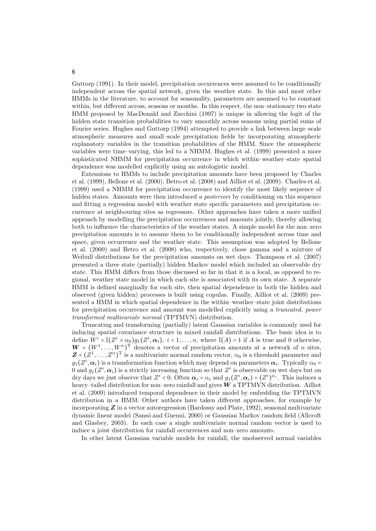Guttorp (1991). In their model, precipitation occurrences were assumed to be conditionally independent across the spatial network, given the weather state. In this and most other HMMs in the literature, to account for seasonality, parameters are assumed to be constant within, but different across, seasons or months. In this respect, the non–stationary two state HMM proposed by MacDonald and Zucchini (1997) is unique in allowing the logit of the hidden state transition probabilities to vary smoothly across seasons using partial sums of Fourier series. Hughes and Guttorp (1994) attempted to provide a link between large–scale atmospheric measures and small–scale precipitation fields by incorporating atmospheric explanatory variables in the transition probabilities of the HMM. Since the atmospheric variables were time–varying, this led to a NHMM. Hughes et al. (1999) presented a more sophisticated NHMM for precipitation occurrence in which within–weather–state spatial dependence was modelled explicitly using an autologistic model.

Extensions to HMMs to include precipitation amounts have been proposed by Charles et al. (1999), Bellone et al. (2000), Betro et al. (2008) and Ailliot et al. (2009). Charles et al. (1999) used a NHMM for precipitation occurrence to identify the most likely sequence of hidden states. Amounts were then introduced *a posteriori* by conditioning on this sequence and fitting a regression model with weather state specific parameters and precipitation occurrence at neighbouring sites as regressors. Other approaches have taken a more unified approach by modelling the precipitation occurrences and amounts jointly, thereby allowing both to influence the characteristics of the weather states. A simple model for the non–zero precipitation amounts is to assume them to be conditionally independent across time and space, given occurrence and the weather state. This assumption was adopted by Bellone et al. (2000) and Betro et al. (2008) who, respectively, chose gamma and a mixture of Weibull distributions for the precipitation amounts on wet days. Thompson et al. (2007) presented a three state (partially) hidden Markov model which included an observable dry state. This HMM differs from those discussed so far in that it is a local, as opposed to regional, weather state model in which each site is associated with its own state. A separate HMM is defined marginally for each site, then spatial dependence in both the hidden and observed (given hidden) processes is built using copulas. Finally, Ailliot et al. (2009) presented a HMM in which spatial dependence in the within–weather–state joint distributions for precipitation occurrence and amount was modelled explicitly using a *truncated, power transformed multivariate normal* (TPTMVN) distribution.

Truncating and transforming (partially) latent Gaussian variables is commonly used for inducing spatial covariance structure in mixed rainfall distributions. The basic idea is to define  $W^i = \mathbb{I}(Z^i > \alpha_0)g_1(Z^i, \alpha_i), i = 1, \ldots, n$ , where  $\mathbb{I}(A) = 1$  if A is true and 0 otherwise,  $W = (W^1, \ldots, W^n)^T$  denotes a vector of precipitation amounts at a network of *n* sites,  $\mathbf{Z} = (Z^1, \ldots, Z^n)^T$  is a multivariate normal random vector,  $\alpha_0$  is a threshold parameter and  $g_1(Z^i, \alpha_i)$  is a transformation function which may depend on parameters  $\alpha_i$ . Typically  $\alpha_0$  = 0 and  $g_1(Z^i, \alpha_i)$  is a strictly increasing function so that  $Z^i$  is observable on wet days but on dry days we just observe that  $Z^i < 0$ . Often  $\alpha_i = \alpha_i$  and  $g_1(Z^i, \alpha_i) = (Z^i)^{\alpha_i}$ . This induces a heavy–tailed distribution for non–zero rainfall and gives  $W$  a TPTMVN distribution. Ailliot et al. (2009) introduced temporal dependence in their model by embedding the TPTMVN distribution in a HMM. Other authors have taken different approaches, for example by incorporating  $Z$  in a vector autoregression (Bardossy and Plate, 1992), seasonal multivariate dynamic linear model (Sans´o and Guenni, 2000) or Gaussian Markov random field (Allcroft and Glasbey, 2003). In each case a single multivariate normal random vector is used to induce a joint distribution for rainfall occurrences and non–zero amounts.

In other latent Gaussian variable models for rainfall, the unobserved normal variables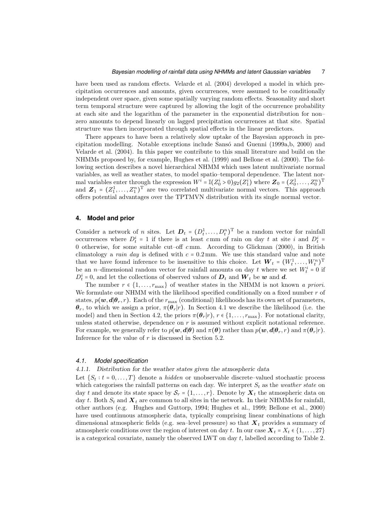#### *Bayesian modelling of rainfall data using NHMMs and latent Gaussian variables* 7

have been used as random effects. Velarde et al. (2004) developed a model in which precipitation occurrences and amounts, given occurrences, were assumed to be conditionally independent over space, given some spatially varying random effects. Seasonality and short term temporal structure were captured by allowing the logit of the occurrence probability at each site and the logarithm of the parameter in the exponential distribution for non– zero amounts to depend linearly on lagged precipitation occurrences at that site. Spatial structure was then incorporated through spatial effects in the linear predictors.

There appears to have been a relatively slow uptake of the Bayesian approach in precipitation modelling. Notable exceptions include Sansó and Guenni (1999a,b, 2000) and Velarde et al. (2004). In this paper we contribute to this small literature and build on the NHMMs proposed by, for example, Hughes et al. (1999) and Bellone et al. (2000). The following section describes a novel hierarchical NHMM which uses latent multivariate normal variables, as well as weather states, to model spatio–temporal dependence. The latent normal variables enter through the expression  $W^i = \mathbb{I}(Z_0^i > 0)g_2(Z_1^i)$  where  $\mathbf{Z}_0 = (Z_0^1, \ldots, Z_0^n)^T$ and  $\mathbf{Z}_1 = (Z_1^1, \ldots, Z_1^n)^T$  are two correlated multivariate normal vectors. This approach offers potential advantages over the TPTMVN distribution with its single normal vector.

# **4. Model and prior**

Consider a network of *n* sites. Let  $D_t = (D_t^1, \ldots, D_t^n)^T$  be a random vector for rainfall occurrences where  $D_t^i = 1$  if there is at least cmm of rain on day t at site i and  $D_t^i =$ 0 otherwise, for some suitable cut–off  $c$ mm. According to Glickman (2000), in British climatology a *rain day* is defined with  $c = 0.2$  mm. We use this standard value and note that we have found inference to be insensitive to this choice. Let  $W_t = (W_t^1, \ldots, W_t^n)^T$ be an *n*-dimensional random vector for rainfall amounts on day t where we set  $W_t^i = 0$  if  $D_t^i = 0$ , and let the collections of observed values of  $D_t$  and  $W_t$  be w and d.

The number  $r \in \{1, \ldots, r_{\text{max}}\}$  of weather states in the NHMM is not known *a priori*. We formulate our NHMM with the likelihood specified conditionally on a fixed number  $r$  of states,  $p(\mathbf{w},\mathbf{d}|\boldsymbol{\theta}_r,r)$ . Each of the  $r_{\text{max}}$  (conditional) likelihoods has its own set of parameters,  $\theta_r$ , to which we assign a prior,  $\pi(\theta_r|r)$ . In Section 4.1 we describe the likelihood (i.e. the model) and then in Section 4.2, the priors  $\pi(\theta_r|r)$ ,  $r \in \{1, \ldots, r_{\text{max}}\}$ . For notational clarity, unless stated otherwise, dependence on r is assumed without explicit notational reference. For example, we generally refer to  $p(\mathbf{w},\mathbf{d}|\boldsymbol{\theta})$  and  $\pi(\boldsymbol{\theta})$  rather than  $p(\mathbf{w},\mathbf{d}|\boldsymbol{\theta}_r,r)$  and  $\pi(\boldsymbol{\theta}_r|r)$ . Inference for the value of r is discussed in Section 5.2.

#### *4.1. Model specification*

### 4.1.1. Distribution for the weather states given the atmospheric data

Let  $\{S_t : t = 0, \ldots, T\}$  denote a *hidden* or unobservable discrete–valued stochastic process which categorises the rainfall patterns on each day. We interpret  $S_t$  as the *weather state* on day t and denote its state space by  $S_r = \{1, \ldots, r\}$ . Denote by  $X_t$  the atmospheric data on day t. Both  $S_t$  and  $\mathbf{X}_t$  are common to all sites in the network. In their NHMMs for rainfall, other authors (e.g. Hughes and Guttorp, 1994; Hughes et al., 1999; Bellone et al., 2000) have used continuous atmospheric data, typically comprising linear combinations of high dimensional atmospheric fields (e.g. sea–level pressure) so that  $X_t$  provides a summary of atmospheric conditions over the region of interest on day t. In our case  $X_t = X_t \in \{1, \ldots, 27\}$ is a categorical covariate, namely the observed LWT on day  $t$ , labelled according to Table 2.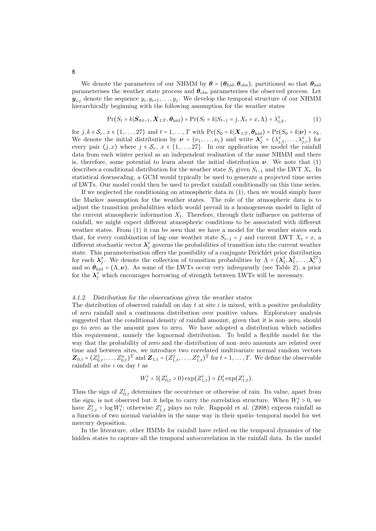We denote the parameters of our NHMM by  $\theta = (\theta_{\text{hid}}, \theta_{\text{obs}})$ , partitioned so that  $\theta_{\text{hid}}$ parameterises the weather state process and  $\theta_{\rm obs}$  parameterises the observed process. Let  $y_{i:j}$  denote the sequence  $y_i, y_{i+1}, \ldots, y_j$ . We develop the temporal structure of our NHMM hierarchically beginning with the following assumption for the weather states

$$
\Pr(S_t = k | \mathbf{S}_{0:t-1}, \mathbf{X}_{1:T}, \boldsymbol{\theta}_{\text{hid}}) = \Pr(S_t = k | S_{t-1} = j, X_t = x, \Lambda) = \lambda_{j,k}^x,
$$
(1)

for  $j, k \in S_r$ ,  $x \in \{1, \ldots, 27\}$  and  $t = 1, \ldots, T$  with  $\Pr(S_0 = k | \mathbf{X}_{1:T}, \boldsymbol{\theta}_{\text{hid}}) = \Pr(S_0 = k | \boldsymbol{\nu}) = \nu_k$ . We denote the initial distribution by  $\mathbf{v} = (v_1, \dots, v_r)$  and write  $\mathbf{\lambda}_{j}^{x} = (\lambda_{j,1}^{x}, \dots, \lambda_{j,r}^{x})$  for every pair  $(j, x)$  where  $j \in S_r$ ,  $x \in \{1, ..., 27\}$ . In our application we model the rainfall data from each winter period as an independent realisation of the same NHMM and there is, therefore, some potential to learn about the initial distribution  $\nu$ . We note that (1) describes a conditional distribution for the weather state  $S_t$  given  $S_{t-1}$  and the LWT  $X_t$ . In statistical downscaling, a GCM would typically be used to generate a projected time series of LWTs. Our model could then be used to predict rainfall conditionally on this time series.

If we neglected the conditioning on atmospheric data in (1), then we would simply have the Markov assumption for the weather states. The role of the atmospheric data is to adjust the transition probabilities which would prevail in a homogeneous model in light of the current atmospheric information  $X_t$ . Therefore, through their influence on patterns of rainfall, we might expect different atmospheric conditions to be associated with different weather states. From (1) it can be seen that we have a model for the weather states such that, for every combination of lag–one weather state  $S_{t-1} = j$  and current LWT  $X_t = x$ , a different stochastic vector  $\lambda_j^x$  governs the probabilities of transition into the current weather state. This parameterisation offers the possibility of a conjugate Dirichlet prior distribution for each  $\lambda_j^x$ . We denote the collection of transition probabilities by  $\Lambda = (\lambda_1^1, \lambda_1^2, \ldots, \lambda_r^{27})$ and so  $\theta_{\text{hid}} = (\Lambda, \nu)$ . As some of the LWTs occur very infrequently (see Table 2), a prior for the  $\lambda_j^x$  which encourages borrowing of strength between LWTs will be necessary.

#### 4.1.2. Distribution for the observations given the weather states

The distribution of observed rainfall on day  $t$  at site  $i$  is mixed, with a positive probability of zero rainfall and a continuous distribution over positive values. Exploratory analysis suggested that the conditional density of rainfall amount, given that it is non–zero, should go to zero as the amount goes to zero. We have adopted a distribution which satisfies this requirement, namely the lognormal distribution. To build a flexible model for the way that the probability of zero and the distribution of non–zero amounts are related over time and between sites, we introduce two correlated multivariate normal random vectors  $\mathbf{Z}_{0,t} = (Z_{0,t}^1, \ldots, Z_{0,t}^n)^{\mathrm{T}}$  and  $\mathbf{Z}_{1,t} = (Z_{1,t}^1, \ldots, Z_{1,t}^n)^{\mathrm{T}}$  for  $t = 1, \ldots, T$ . We define the observable rainfall at site i on day t as

$$
W_t^i = \mathbb{I}(Z_{0,t}^i > 0) \exp(Z_{1,t}^i) = D_t^i \exp(Z_{1,t}^i).
$$

Thus the sign of  $Z_{0,t}^i$  determines the occurrence or otherwise of rain. Its value, apart from the sign, is not observed but it helps to carry the correlation structure. When  $W_t^i > 0$ , we have  $Z_{1,t}^i = \log W_t^i$ ; otherwise  $Z_{1,t}^i$  plays no role. Rappold et al. (2008) express rainfall as a function of two normal variables in the same way in their spatio–temporal model for wet mercury deposition.

In the literature, other HMMs for rainfall have relied on the temporal dynamics of the hidden states to capture all the temporal autocorrelation in the rainfall data. In the model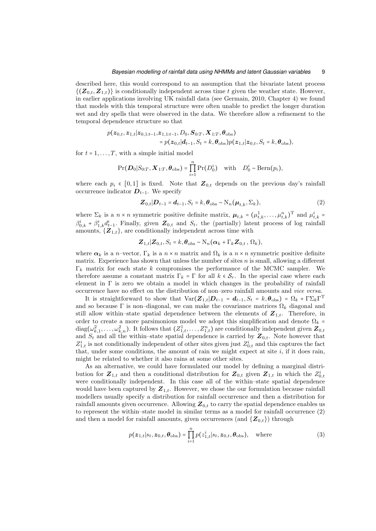#### *Bayesian modelling of rainfall data using NHMMs and latent Gaussian variables* 9

described here, this would correspond to an assumption that the bivariate latent process  $\{(\mathbf{Z}_{0,t},\mathbf{Z}_{1,t})\}\$ is conditionally independent across time t given the weather state. However, in earlier applications involving UK rainfall data (see Germain, 2010, Chapter 4) we found that models with this temporal structure were often unable to predict the longer duration wet and dry spells that were observed in the data. We therefore allow a refinement to the temporal dependence structure so that

$$
p(\boldsymbol{z}_{0,t}, \boldsymbol{z}_{1,t} | \boldsymbol{z}_{0,1:t-1}, \boldsymbol{z}_{1,1:t-1}, D_0, \boldsymbol{S}_{0:T}, \boldsymbol{X}_{1:T}, \boldsymbol{\theta}_{obs})
$$
  
=  $p(\boldsymbol{z}_{0,t} | \boldsymbol{d}_{t-1}, S_t = k, \boldsymbol{\theta}_{obs}) p(\boldsymbol{z}_{1,t} | \boldsymbol{z}_{0,t}, S_t = k, \boldsymbol{\theta}_{obs}),$ 

for  $t = 1, \ldots, T$ , with a simple initial model

$$
\Pr(\boldsymbol{D}_0|S_{0:T}, \boldsymbol{X}_{1:T}, \boldsymbol{\theta}_{\text{obs}}) = \prod_{i=1}^n \Pr(D_0^i) \text{ with } D_0^i \sim \text{Bern}(p_i),
$$

where each  $p_i \in [0,1]$  is fixed. Note that  $\mathbb{Z}_{0,t}$  depends on the previous day's rainfall occurrence indicator  $D_{t-1}$ . We specify

$$
\mathbf{Z}_{0,t}|\mathbf{D}_{t-1} = \mathbf{d}_{t-1}, S_t = k, \boldsymbol{\theta}_{obs} \sim \mathrm{N}_n(\boldsymbol{\mu}_{t,k}, \boldsymbol{\Sigma}_k),
$$
\n(2)

where  $\Sigma_k$  is a  $n \times n$  symmetric positive definite matrix,  $\boldsymbol{\mu}_{t,k} = (\mu_{t,k}^1, \dots, \mu_{t,k}^n)^T$  and  $\mu_{t,k}^i$  $\beta_{0,k}^i + \beta_{1,k}^i \underline{d_{t-1}^i}$ . Finally, given  $\mathbf{Z}_{0,t}$  and  $S_t$ , the (partially) latent process of log rainfall amounts,  $\{Z_{1,t}\}\$ , are conditionally independent across time with

$$
\mathbf{Z}_{1,t}|\mathbf{Z}_{0,t},S_t=k,\boldsymbol{\theta}_{\text{obs}}\sim\mathrm{N}_n(\boldsymbol{\alpha}_k+\Gamma_k\mathbf{Z}_{0,t},\Omega_k),
$$

where  $\alpha_k$  is a n–vector,  $\Gamma_k$  is a  $n \times n$  matrix and  $\Omega_k$  is a  $n \times n$  symmetric positive definite matrix. Experience has shown that unless the number of sites  $n$  is small, allowing a different  $\Gamma_k$  matrix for each state k compromises the performance of the MCMC sampler. We therefore assume a constant matrix  $\Gamma_k = \Gamma$  for all  $k \in S_r$ . In the special case where each element in  $\Gamma$  is zero we obtain a model in which changes in the probability of rainfall occurrence have no effect on the distribution of non–zero rainfall amounts and *vice versa*.

It is straightforward to show that  $Var(\mathbf{Z}_{1,t}|\mathbf{D}_{t-1} = \mathbf{d}_{t-1}, S_t = k, \boldsymbol{\theta}_{obs}) = \Omega_k + \Gamma \Sigma_k \Gamma^T$ and so because  $\Gamma$  is non-diagonal, we can make the covariance matrices  $\Omega_k$  diagonal and still allow within–state spatial dependence between the elements of  $Z_{1,t}$ . Therefore, in order to create a more parsimonious model we adopt this simplification and denote  $\Omega_k$  $diag(\omega_{k,1}^2,\ldots,\omega_{k,n}^2)$ . It follows that  $(Z_{1,t}^1,\ldots,Z_{1,t}^n)$  are conditionally independent given  $\boldsymbol{Z}_{0,t}$ and  $S_t$  and all the within–state spatial dependence is carried by  $\mathbf{Z}_{0,t}$ . Note however that  $Z_{1,t}^i$  is not conditionally independent of other sites given just  $Z_{0,t}^i$  and this captures the fact that, under some conditions, the amount of rain we might expect at site i, if it does rain, might be related to whether it also rains at some other sites.

As an alternative, we could have formulated our model by defining a marginal distribution for  $\mathbf{Z}_{1,t}$  and then a conditional distribution for  $\mathbf{Z}_{0,t}$  given  $\mathbf{Z}_{1,t}$  in which the  $Z_{0,t}^i$ were conditionally independent. In this case all of the within–state spatial dependence would have been captured by  $Z_{1,t}$ . However, we chose the our formulation because rainfall modellers usually specify a distribution for rainfall occurrence and then a distribution for rainfall amounts given occurrence. Allowing  $Z_{0,t}$  to carry the spatial dependence enables us to represent the within–state model in similar terms as a model for rainfall occurrence (2) and then a model for rainfall amounts, given occurrences (and  $\{Z_{0,t}\}\)$  through

$$
p(\boldsymbol{z}_{1,t}|s_t,\boldsymbol{z}_{0,t},\boldsymbol{\theta}_{\text{obs}}) = \prod_{i=1}^n p(z_{1,t}^i|s_t,\boldsymbol{z}_{0,t},\boldsymbol{\theta}_{\text{obs}}), \quad \text{where}
$$
\n(3)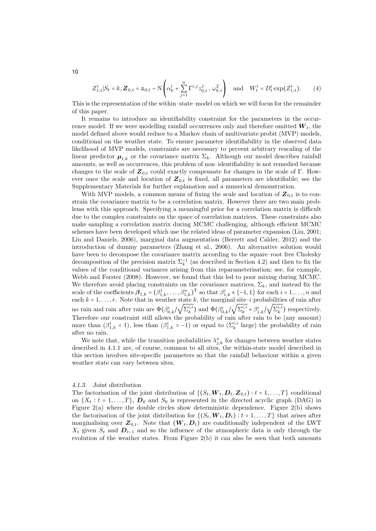$$
Z_{1,t}^i | S_t = k, \mathbf{Z}_{0,t} = \mathbf{z}_{0,t} \sim \mathcal{N}\left(\alpha_k^i + \sum_{j=1}^n \Gamma^{i,j} z_{0,t}^j, \omega_{k,i}^2\right) \text{ and } W_t^i = D_t^i \exp(Z_{1,t}^i). \tag{4}
$$

This is the representation of the within–state–model on which we will focus for the remainder of this paper.

It remains to introduce an identifiability constraint for the parameters in the occurrence model. If we were modelling rainfall occurrences only and therefore omitted  $W_t$ , the model defined above would reduce to a Markov chain of multivariate probit (MVP) models, conditional on the weather state. To ensure parameter identifiability in the observed data likelihood of MVP models, constraints are necessary to prevent arbitrary rescaling of the linear predictor  $\mu_{t,k}$  or the covariance matrix  $\Sigma_k$ . Although our model describes rainfall amounts, as well as occurrences, this problem of non–identifiability is not remedied because changes to the scale of  $\mathbf{Z}_{0,t}$  could exactly compensate for changes in the scale of Γ. However once the scale and location of  $\mathbf{Z}_{0,t}$  is fixed, all parameters are identifiable; see the Supplementary Materials for further explanation and a numerical demonstration.

With MVP models, a common means of fixing the scale and location of  $Z_{0,t}$  is to constrain the covariance matrix to be a correlation matrix. However there are two main problems with this approach. Specifying a meaningful prior for a correlation matrix is difficult due to the complex constraints on the space of correlation matrices. These constraints also make sampling a correlation matrix during MCMC challenging, although efficient MCMC schemes have been developed which use the related ideas of parameter expansion (Liu, 2001; Liu and Daniels, 2006), marginal data augmentation (Berrett and Calder, 2012) and the introduction of dummy parameters (Zhang et al., 2006). An alternative solution would have been to decompose the covariance matrix according to the square–root free Cholesky decomposition of the precision matrix  $\Sigma_k^{-1}$  (as described in Section 4.2) and then to fix the values of the conditional variances arising from this reparameterisation; see, for example, Webb and Forster (2008). However, we found that this led to poor mixing during MCMC. We therefore avoid placing constraints on the covariance matrices,  $\Sigma_k$ , and instead fix the scale of the coefficients  $\beta_{1,k} = (\beta_{1,k}^1, \ldots, \beta_{1,k}^n)^T$  so that  $\beta_{1,k}^i \in \{-1,1\}$  for each  $i = 1, \ldots, n$  and each  $k = 1, \ldots, r$ . Note that in weather state k, the marginal site–i probabilities of rain after no rain and rain after rain are  $\Phi(\beta^i_{0,k})$  $\sqrt{\Sigma_k^{i,i}}$ ) and  $\Phi(\beta_{0,k}^i)$  $\sqrt{\sum_{k}^{i,i} + \beta_{1,k}^i}$  $\sqrt{\Sigma_k^{i,i}}$ ) respectively. Therefore our constraint still allows the probability of rain after rain to be (any amount) more than  $(\beta_{1,k}^i = 1)$ , less than  $(\beta_{1,k}^i = -1)$  or equal to  $(\Sigma_k^{i,i}$  large) the probability of rain after no rain.

We note that, while the transition probabilities  $\lambda_{j,k}^x$  for changes between weather states described in 4.1.1 are, of course, common to all sites, the within-state model described in this section involves site-specific parameters so that the rainfall behaviour within a given weather state can vary between sites.

#### 4.1.3. Joint distribution

The factorisation of the joint distribution of  $\{(S_t, \boldsymbol{W}_t, \boldsymbol{D}_t, \boldsymbol{Z}_{0,t}) : t = 1, ..., T\}$  conditional on  $\{X_t : t = 1, \ldots, T\}$ ,  $D_0$  and  $S_0$  is represented in the directed acyclic graph (DAG) in Figure 2(a) where the double circles show deterministic dependence. Figure 2(b) shows the factorisation of the joint distribution for  $\{(S_t, \boldsymbol{W}_t, \boldsymbol{D}_t) : t = 1, \ldots, T\}$  that arises after marginalising over  $\mathbf{Z}_{0,t}$ . Note that  $(\mathbf{W}_t,\mathbf{D}_t)$  are conditionally independent of the LWT  $X_t$  given  $S_t$  and  $D_{t-1}$  and so the influence of the atmospheric data is only through the evolution of the weather states. From Figure 2(b) it can also be seen that both amounts

10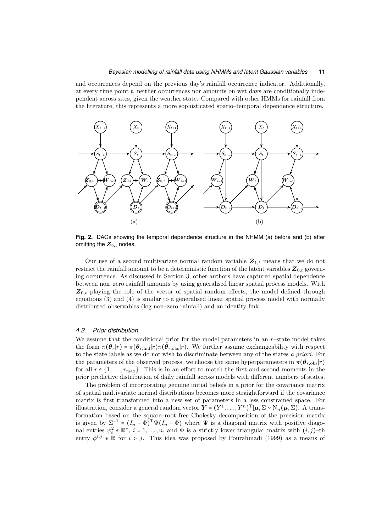#### *Bayesian modelling of rainfall data using NHMMs and latent Gaussian variables* 11

and occurrences depend on the previous day's rainfall occurrence indicator. Additionally, at every time point  $t$ , neither occurrences nor amounts on wet days are conditionally independent across sites, given the weather state. Compared with other HMMs for rainfall from the literature, this represents a more sophisticated spatio–temporal dependence structure.



**Fig. 2.** DAGs showing the temporal dependence structure in the NHMM (a) before and (b) after omitting the  $Z_{0,t}$  nodes.

Our use of a second multivariate normal random variable  $Z_{1,t}$  means that we do not restrict the rainfall amount to be a deterministic function of the latent variables  $Z_{0,t}$  governing occurrence. As discussed in Section 3, other authors have captured spatial dependence between non–zero rainfall amounts by using generalised linear spatial process models. With  $Z_{0,t}$  playing the role of the vector of spatial random effects, the model defined through equations (3) and (4) is similar to a generalised linear spatial process model with normally distributed observables (log non–zero rainfall) and an identity link.

#### *4.2. Prior distribution*

We assume that the conditional prior for the model parameters in an  $r$ -state model takes the form  $\pi(\theta_r|r) = \pi(\theta_{r,\text{hid}}|r) \pi(\theta_{r,\text{obs}}|r)$ . We further assume exchangeability with respect to the state labels as we do not wish to discriminate between any of the states *a priori*. For the parameters of the observed process, we choose the same hyperparameters in  $\pi(\theta_{r,\text{obs}}|r)$ for all  $r \in \{1, \ldots, r_{\text{max}}\}$ . This is in an effort to match the first and second moments in the prior predictive distribution of daily rainfall across models with different numbers of states.

The problem of incorporating genuine initial beliefs in a prior for the covariance matrix of spatial multivariate normal distributions becomes more straightforward if the covariance matrix is first transformed into a new set of parameters in a less constrained space. For illustration, consider a general random vector  $\mathbf{Y} = (Y^1, \dots, Y^n)^T | \boldsymbol{\mu}, \Sigma \sim N_n(\boldsymbol{\mu}, \Sigma)$ . A transformation based on the square–root free Cholesky decomposition of the precision matrix is given by  $\Sigma^{-1} = (I_n - \Phi)^{\mathrm{T}} \Psi(I_n - \Phi)$  where  $\Psi$  is a diagonal matrix with positive diagonal entries  $\psi_i^2 \in \mathbb{R}^+, i = 1, \ldots, n$ , and  $\Phi$  is a strictly lower triangular matrix with  $(i, j)$ -th entry  $\phi^{i,j} \in \mathbb{R}$  for  $i > j$ . This idea was proposed by Pourahmadi (1999) as a means of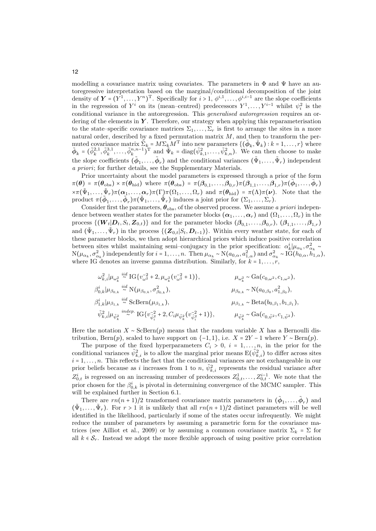modelling a covariance matrix using covariates. The parameters in  $\Phi$  and  $\Psi$  have an autoregressive interpretation based on the marginal/conditional decomposition of the joint density of  $\mathbf{Y} = (Y^1, \ldots, Y^n)^T$ . Specifically for  $i > 1, \phi^{i,1}, \ldots, \phi^{i,i-1}$  are the slope coefficients in the regression of  $Y^i$  on its (mean–centred) predecessors  $Y^1, \ldots, Y^{i-1}$  whilst  $\psi_i^2$  is the conditional variance in the autoregression. This *generalised autoregression* requires an ordering of the elements in  $Y$ . Therefore, our strategy when applying this reparameterisation to the state–specific covariance matrices  $\Sigma_1, \ldots, \Sigma_r$  is first to arrange the sites in a more natural order, described by a fixed permutation matrix  $M$ , and then to transform the permuted covariance matrix  $\sum_{k=1}^{\infty} M^T$  into new parameters  $\{(\tilde{\phi}_k, \tilde{\Psi}_k) : k = 1, \ldots, r\}$  where  $\tilde{\boldsymbol{\phi}}_k = (\tilde{\phi}_k^{2,1}, \tilde{\phi}_k^{3,1}, \dots, \tilde{\phi}_k^{n,n-1})^\mathrm{T}$  and  $\tilde{\Psi}_k = \text{diag}(\tilde{\psi}_{k,1}^2, \dots, \tilde{\psi}_{k,n}^2)$ . We can then choose to make the slope coefficients  $(\tilde{\phi}_1,\ldots,\tilde{\phi}_r)$  and the conditional variances  $(\tilde{\Psi}_1,\ldots,\tilde{\Psi}_r)$  independent *a priori*; for further details, see the Supplementary Materials.

Prior uncertainty about the model parameters is expressed through a prior of the form  $\pi(\boldsymbol{\theta}) = \pi(\boldsymbol{\theta}_{obs}) \times \pi(\boldsymbol{\theta}_{hid})$  where  $\pi(\boldsymbol{\theta}_{obs}) = \pi(\boldsymbol{\beta}_{0,1}, \dots, \boldsymbol{\beta}_{0,r}) \pi(\boldsymbol{\beta}_{1,1}, \dots, \boldsymbol{\beta}_{1,r}) \pi(\tilde{\boldsymbol{\phi}}_1, \dots, \tilde{\boldsymbol{\phi}}_r)$  $\times \pi(\tilde{\Psi}_1,\ldots,\tilde{\Psi}_r)\pi(\alpha_1,\ldots,\alpha_r)\pi(\Gamma_2)\pi(\Omega_1,\ldots,\Omega_r)$  and  $\pi(\theta_{\text{hid}}) = \pi(\Lambda)\pi(\nu)$ . Note that the product  $\pi(\tilde{\phi}_1,\ldots,\tilde{\phi}_r)\pi(\tilde{\Psi}_1,\ldots,\tilde{\Psi}_r)$  induces a joint prior for  $(\Sigma_1,\ldots,\Sigma_r)$ .

Consider first the parameters,  $\theta_{obs}$ , of the observed process. We assume *a priori* independence between weather states for the parameter blocks  $(\boldsymbol{\alpha}_1, \ldots, \boldsymbol{\alpha}_r)$  and  $(\Omega_1, \ldots, \Omega_r)$  in the process  $\{(W_t|D_t, S_t, Z_{0,t})\}$  and for the parameter blocks  $(\beta_{0,1}, \ldots, \beta_{0,r}),$   $(\beta_{1,1}, \ldots, \beta_{1,r})$ and  $(\tilde{\Psi}_1,\ldots,\tilde{\Psi}_r)$  in the process  $\{(\boldsymbol{Z}_{0,t}|S_t,\boldsymbol{D}_{t-1})\}$ . Within every weather state, for each of these parameter blocks, we then adopt hierarchical priors which induce positive correlation between sites whilst maintaining semi–conjugacy in the prior specification:  $\alpha_k^i | \mu_{\alpha_k}, \sigma_{\alpha_k}^2 \sim$  $N(\mu_{\alpha_k}, \sigma_{\alpha_k}^2)$  independently for  $i = 1, \ldots, n$ . Then  $\mu_{\alpha_k} \sim N(a_{0,\alpha}, a_{1,\alpha}^2)$  and  $\sigma_{\alpha_k}^2 \sim \tilde{IG}(h_{0,\alpha}, h_{1,\alpha}^2)$ , where IG denotes an inverse gamma distribution. Similarly, for  $k = 1, \ldots, r$ ,

$$
\omega_{k,i}^{2} | \mu_{\omega_{k}^{2}} \stackrel{iid}{\sim} \text{IG}\{v_{\omega^{2}}^{-2} + 2, \mu_{\omega_{k}^{2}}(v_{\omega^{2}}^{-2} + 1)\}, \qquad \mu_{\omega_{k}^{2}} \sim \text{Ga}(c_{0,\omega^{2}}, c_{1,\omega^{2}}),
$$
\n
$$
\beta_{0,k}^{i} | \mu_{\beta_{0,k}} \stackrel{iid}{\sim} \text{N}(\mu_{\beta_{0,k}}, \sigma_{\beta_{0,k}}^{2}), \qquad \mu_{\beta_{0,k}} \sim \text{N}(a_{0,\beta_{0}}, a_{1,\beta_{0}}^{2}),
$$
\n
$$
\beta_{1,k}^{i} | \mu_{\beta_{1,k}} \stackrel{iid}{\sim} \text{SCBern}(\mu_{\beta_{1,k}}), \qquad \mu_{\beta_{1,k}} \sim \text{Beta}(b_{0,\beta_{1}}, b_{1,\beta_{1}}),
$$
\n
$$
\tilde{\psi}_{k,i}^{2} | \mu_{\tilde{\psi}_{k}^{2}} \stackrel{indep.}{\sim} \text{IG}\{v_{\tilde{\psi}_{i}^{2}}^{-2} + 2, C_{i} \mu_{\tilde{\psi}_{k}^{2}}(v_{\tilde{\psi}_{i}^{2}}^{-2} + 1)\}, \qquad \mu_{\tilde{\psi}_{k}^{2}} \sim \text{Ga}(c_{0,\tilde{\psi}^{2}}, c_{1,\tilde{\psi}^{2}}).
$$

Here the notation  $X \sim \text{ScBern}(p)$  means that the random variable X has a Bernoulli distribution, Bern $(p)$ , scaled to have support on  $\{-1, 1\}$ , i.e.  $X = 2Y - 1$  where  $Y \sim \text{Bern}(p)$ .

The purpose of the fixed hyperparameters  $C_i > 0$ ,  $i = 1, \ldots, n$ , in the prior for the conditional variances  $\tilde{\psi}_{k,i}^2$  is to allow the marginal prior means  $E(\tilde{\psi}_{k,i}^2)$  to differ across sites  $i = 1, \ldots, n$ . This reflects the fact that the conditional variances are not exchangeable in our prior beliefs because as i increases from 1 to n,  $\tilde{\psi}_{k,i}^2$  represents the residual variance after  $Z_{0,t}^i$  is regressed on an increasing number of predecessors  $Z_{0,t}^1, \ldots, Z_{0,t}^{i-1}$ . We note that the prior chosen for the  $\beta_{0,k}^i$  is pivotal in determining convergence of the MCMC sampler. This will be explained further in Section 6.1.

There are  $rn(n+1)/2$  transformed covariance matrix parameters in  $(\tilde{\phi}_1, \ldots, \tilde{\phi}_r)$  and  $(\tilde{\Psi}_1, \ldots, \tilde{\Psi}_r)$ . For  $r > 1$  it is unlikely that all  $rn(n+1)/2$  distinct parameters will be well identified in the likelihood, particularly if some of the states occur infrequently. We might reduce the number of parameters by assuming a parametric form for the covariance matrices (see Ailliot et al., 2009) or by assuming a common covariance matrix  $\Sigma_k = \Sigma$  for all  $k \in S_r$ . Instead we adopt the more flexible approach of using positive prior correlation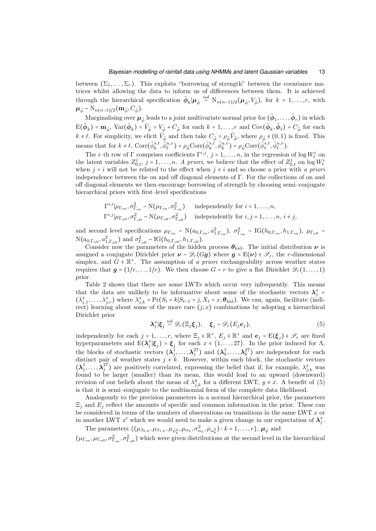between  $(\Sigma_1, \ldots, \Sigma_r)$ . This exploits "borrowing of strength" between the covariance matrices whilst allowing the data to inform us of differences between them. It is achieved through the hierarchical specification  $\tilde{\phi}_k | \mu_{\tilde{\phi}} \stackrel{iid}{\sim} N_{n(n-1)/2}(\mu_{\tilde{\phi}}, V_{\tilde{\phi}})$ , for  $k = 1, \ldots, r$ , with  $\mu_{\tilde{\phi}} \sim N_{n(n-1)/2}(\mathbf{m}_{\tilde{\phi}}, C_{\tilde{\phi}}).$ 

Marginalising over  $\bm{\mu}_{\tilde{\phi}}$  leads to a joint multivariate normal prior for  $(\tilde{\phi}_1,\ldots,\tilde{\phi}_r)$  in which  $E(\tilde{\boldsymbol{\phi}}_k) = \mathbf{m}_{\tilde{\boldsymbol{\phi}}}, \text{Var}(\tilde{\boldsymbol{\phi}}_k) = \tilde{V}_{\tilde{\boldsymbol{\phi}}} = V_{\tilde{\boldsymbol{\phi}}} + C_{\tilde{\boldsymbol{\phi}}}\text{ for each }k = 1,\ldots,r\text{ and }\text{Cov}(\tilde{\boldsymbol{\phi}}_k,\tilde{\boldsymbol{\phi}}_\ell) = C_{\tilde{\boldsymbol{\phi}}}\text{ for each }k = 1,\ldots,r.$  $k \neq \ell$ . For simplicity, we elicit  $\tilde{V}_{\tilde{\phi}}$  and then take  $C_{\tilde{\phi}} = \rho_{\tilde{\phi}} \tilde{V}_{\tilde{\phi}}$ , where  $\rho_{\tilde{\phi}} \in (0,1)$  is fixed. This means that for  $k \neq \ell$ ,  $\text{Corr}(\tilde{\phi}_k^{s,t}, \tilde{\phi}_\ell^{u,v}) = \rho_{\tilde{\phi}} \text{Corr}(\tilde{\phi}_k^{s,t}, \tilde{\phi}_k^{u,v}) = \rho_{\tilde{\phi}} \text{Corr}(\tilde{\phi}_\ell^{s,t}, \tilde{\phi}_\ell^{u,v}).$ 

The *i*-th row of  $\Gamma$  comprises coefficients  $\Gamma^{i,j}$ ,  $j = 1, ..., n$ , in the regression of log  $W_t^i$  on the latent variables  $Z_{0,t}^j$ ,  $j = 1, \ldots, n$ . *A priori*, we believe that the effect of  $Z_{0,t}^j$  on  $\log W_t^i$ when  $j = i$  will not be related to the effect when  $j \neq i$  and so choose a prior with *a priori* independence between the on and off diagonal elements of Γ. For the collections of on and off diagonal elements we then encourage borrowing of strength by choosing semi–conjugate hierarchical priors with first–level specifications

$$
\Gamma^{i,i}|\mu_{\Gamma_{\text{on}}}, \sigma_{\Gamma_{\text{on}}}^2 \sim N(\mu_{\Gamma_{\text{on}}}, \sigma_{\Gamma_{\text{on}}}^2) \quad \text{independently for } i = 1, ..., n,
$$
  

$$
\Gamma^{i,j}|\mu_{\Gamma_{\text{off}}}, \sigma_{\Gamma_{\text{off}}}^2 \sim N(\mu_{\Gamma_{\text{off}}}, \sigma_{\Gamma_{\text{off}}}^2) \quad \text{independently for } i, j = 1, ..., n, i \neq j,
$$

and second level specifications  $\mu_{\Gamma_{\text{on}}}\sim N(a_{0,\Gamma_{\text{on}}},a_{1,\Gamma_{\text{on}}}^2), \sigma_{\Gamma_{\text{on}}}^2\sim IG(h_{0,\Gamma_{\text{on}}},h_{1,\Gamma_{\text{on}}}), \mu_{\Gamma_{\text{off}}}\sim$  $N(a_{0,\Gamma_{\rm off}}, a_{1,\Gamma_{\rm off}}^2)$  and  $\sigma_{\Gamma_{\rm off}}^2 \sim IG(h_{0,\Gamma_{\rm off}}, h_{1,\Gamma_{\rm off}})$ .

Consider now the parameters of the hidden process  $\theta_{\text{hid}}$ . The initial distribution  $\nu$  is assigned a conjugate Dirichlet prior  $v \sim \mathcal{D}_r(Gg)$  where  $g = E(\nu) \in \mathcal{S}_r$ , the r-dimensional simplex, and  $G \in \mathbb{R}^+$ . The assumption of *a priori* exchangeability across weather states requires that  $g = (1/r, \ldots, 1/r)$ . We then choose  $G = r$  to give a flat Dirichlet  $\mathscr{D}_r(1, \ldots, 1)$ prior.

Table 2 shows that there are some LWTs which occur very infrequently. This means that the data are unlikely to be informative about some of the stochastic vectors  $\lambda_j^x$  =  $(\lambda_{j,1}^x, \ldots, \lambda_{j,r}^x)$  where  $\lambda_{j,k}^x = \Pr(S_t = k | S_{t-1} = j, X_t = x, \boldsymbol{\theta}_{\text{hid}})$ . We can, again, facilitate (indirect) learning about some of the more rare  $(j, x)$  combinations by adopting a hierarchical Dirichlet prior

$$
\lambda_j^x | \xi_j \stackrel{iid}{\sim} \mathscr{D}_r(\Xi_j \xi_j), \quad \xi_j \sim \mathscr{D}_r(E_j e_j), \tag{5}
$$

independently for each  $j = 1, ..., r$ , where  $\Xi_j \in \mathbb{R}^+$ ,  $E_j \in \mathbb{R}^+$  and  $e_j = E(\xi_j) \in \mathcal{S}_r$  are fixed hyperparameters and  $E(\lambda_j^x|\xi_j) = \xi_j$  for each  $x \in \{1, \ldots, 27\}$ . In the prior induced for  $\Lambda$ , the blocks of stochastic vectors  $(\lambda_1^1, \ldots, \lambda_j^{27})$  and  $(\lambda_k^1, \ldots, \lambda_k^{27})$  are independent for each distinct pair of weather states  $j \neq k$ . However, within each block, the stochastic vectors  $(\lambda_j^1, \ldots, \lambda_j^{27})$  are positively correlated, expressing the belief that if, for example,  $\lambda_{j,k}^x$  was found to be larger (smaller) than its mean, this would lead to an upward (downward) revision of our beliefs about the mean of  $\lambda_{j,k}^y$  for a different LWT,  $y \neq x$ . A benefit of (5) is that it is semi–conjugate to the multinomial form of the complete data likelihood.

Analogously to the precision parameters in a normal hierarchical prior, the parameters  $\Xi_i$  and  $E_j$  reflect the amounts of specific and common information in the prior. These can be considered in terms of the numbers of observations on transitions in the same LWT  $x$  or in another LWT  $x'$  which we would need to make a given change in our expectation of  $\lambda_j^x$ .

The parameters  $\{(\mu_{\beta_{0,k}}, \mu_{\beta_{1,k}}, \mu_{\tilde{\psi}_k^2}, \mu_{\alpha_k}, \sigma_{\alpha_k}^2, \mu_{\omega_k^2}) : k = 1, \ldots, r\}, \mu_{\tilde{\phi}} \text{ and }$  $(\mu_{\Gamma_{\text{on}}}, \mu_{\Gamma_{\text{off}}}, \sigma_{\Gamma_{\text{off}}}^2)$  which were given distributions at the second level in the hierarchical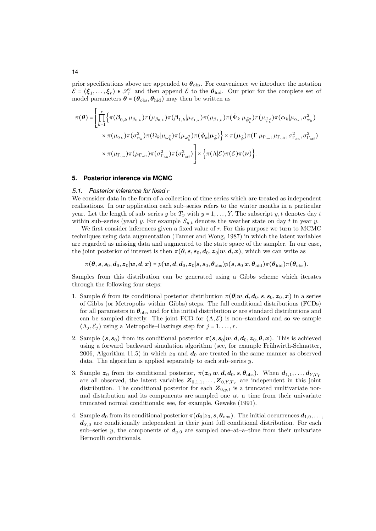prior specifications above are appended to  $\theta_{\rm obs}$ . For convenience we introduce the notation  $\mathcal{E} = (\xi_1, \dots, \xi_r) \in \mathcal{S}_r^r$  and then append  $\mathcal{E}$  to the  $\theta_{\text{hid}}$ . Our prior for the complete set of model parameters  $\boldsymbol{\theta} = (\boldsymbol{\theta}_{obs}, \boldsymbol{\theta}_{hid})$  may then be written as

$$
\pi(\theta) = \left[ \prod_{k=1}^{r} \left\{ \pi(\beta_{0,k} | \mu_{\beta_{0,k}}) \pi(\mu_{\beta_{0,k}}) \pi(\beta_{1,k} | \mu_{\beta_{1,k}}) \pi(\mu_{\beta_{1,k}}) \pi(\tilde{\Psi}_{k} | \mu_{\tilde{\psi}_{k}^{2}}) \pi(\mu_{\tilde{\psi}_{k}^{2}}) \pi(\alpha_{k} | \mu_{\alpha_{k}}, \sigma_{\alpha_{k}}^{2}) \right] \times \pi(\mu_{\alpha_{k}}) \pi(\sigma_{\alpha_{k}}^{2}) \pi(\Omega_{k} | \mu_{\omega_{k}^{2}}) \pi(\mu_{\omega_{k}^{2}}) \pi(\tilde{\phi}_{k} | \mu_{\tilde{\phi}}) \right\} \times \pi(\mu_{\tilde{\phi}}) \pi(\Gamma | \mu_{\Gamma_{\text{on}}}, \mu_{\Gamma_{\text{off}}}, \sigma_{\Gamma_{\text{on}}}^{2}, \sigma_{\Gamma_{\text{off}}}^{2}) \times \pi(\mu_{\Gamma_{\text{on}}}) \pi(\mu_{\Gamma_{\text{off}}}) \pi(\sigma_{\Gamma_{\text{off}}}^{2}) \pi(\sigma_{\Gamma_{\text{off}}}^{2}) \pi(\sigma_{\Gamma_{\text{off}}}^{2}) \pi(\sigma_{\Gamma_{\text{off}}}^{2}) \pi(\sigma_{\Gamma_{\text{off}}}^{2}) \pi(\sigma_{\Gamma_{\text{off}}}^{2}) \times \left\{ \pi(\Lambda | \mathcal{E}) \pi(\mathcal{E}) \pi(\nu) \right\}.
$$

#### **5. Posterior inference via MCMC**

#### *5.1. Posterior inference for fixed* r

We consider data in the form of a collection of time series which are treated as independent realisations. In our application each sub–series refers to the winter months in a particular year. Let the length of sub-series y be  $T_y$  with  $y = 1, \ldots, Y$ . The subscript y, t denotes day t within sub–series (year) y. For example  $S_{y,t}$  denotes the weather state on day t in year y.

We first consider inferences given a fixed value of  $r$ . For this purpose we turn to MCMC techniques using data augmentation (Tanner and Wong, 1987) in which the latent variables are regarded as missing data and augmented to the state space of the sampler. In our case, the joint posterior of interest is then  $\pi(\theta, s, s_0, d_0, z_0 | w, d, x)$ , which we can write as

 $\pi(\theta, s, s_0, d_0, z_0 | w, d, x) = p(w, d, d_0, z_0 | s, s_0, \theta_{\text{obs}}) p(s, s_0 | x, \theta_{\text{hid}}) \pi(\theta_{\text{hid}}) \pi(\theta_{\text{obs}}).$ 

Samples from this distribution can be generated using a Gibbs scheme which iterates through the following four steps:

- 1. Sample  $\theta$  from its conditional posterior distribution  $\pi(\theta|w, d, d_0, s, s_0, z_0, x)$  in a series of Gibbs (or Metropolis–within–Gibbs) steps. The full conditional distributions (FCDs) for all parameters in  $\theta_{obs}$  and for the initial distribution  $\nu$  are standard distributions and can be sampled directly. The joint FCD for  $(\Lambda, \mathcal{E})$  is non-standard and so we sample  $(\Lambda_j, \mathcal{E}_j)$  using a Metropolis–Hastings step for  $j = 1, \ldots, r$ .
- 2. Sample  $(s, s_0)$  from its conditional posterior  $\pi(s, s_0|w, d, d_0, z_0, \theta, x)$ . This is achieved using a forward–backward simulation algorithm (see, for example Frühwirth-Schnatter, 2006, Algorithm 11.5) in which  $z_0$  and  $d_0$  are treated in the same manner as observed data. The algorithm is applied separately to each sub–series  $y$ .
- 3. Sample  $z_0$  from its conditional posterior,  $\pi(z_0|w,d,d_0,s,\theta_{\text{obs}})$ . When  $d_{1,1},\ldots,d_{Y,T_Y}$ are all observed, the latent variables  $Z_{0,1,1},\ldots,Z_{0,Y,T_Y}$  are independent in this joint distribution. The conditional posterior for each  $\mathbf{Z}_{0,y,t}$  is a truncated multivariate normal distribution and its components are sampled one–at–a–time from their univariate truncated normal conditionals; see, for example, Geweke (1991).
- 4. Sample  $d_0$  from its conditional posterior  $\pi(d_0|z_0,s,\theta_{\text{obs}})$ . The initial occurrences  $d_{1,0},\ldots$ ,  $d_{Y,0}$  are conditionally independent in their joint full conditional distribution. For each sub–series y, the components of  $d_{y,0}$  are sampled one–at–a–time from their univariate Bernoulli conditionals.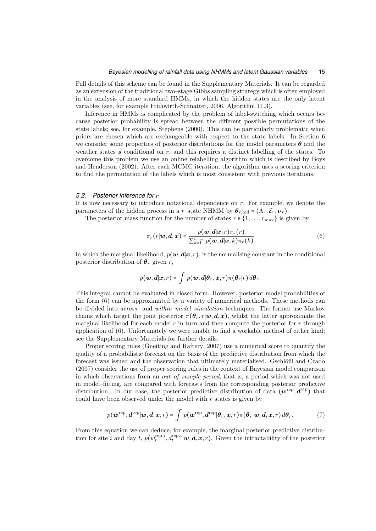#### *Bayesian modelling of rainfall data using NHMMs and latent Gaussian variables* 15

Full details of this scheme can be found in the Supplementary Materials. It can be regarded as an extension of the traditional two–stage Gibbs sampling strategy which is often employed in the analysis of more standard HMMs, in which the hidden states are the only latent variables (see, for example Frühwirth-Schnatter, 2006, Algorithm 11.3).

Inference in HMMs is complicated by the problem of label-switching which occurs because posterior probability is spread between the different possible permutations of the state labels; see, for example, Stephens (2000). This can be particularly problematic when priors are chosen which are exchangeable with respect to the state labels. In Section 6 we consider some properties of posterior distributions for the model parameters  $\theta$  and the weather states  $s$  conditional on  $r$ , and this requires a distinct labelling of the states. To overcome this problem we use an online relabelling algorithm which is described by Boys and Henderson (2002). After each MCMC iteration, the algorithm uses a scoring criterion to find the permutation of the labels which is most consistent with previous iterations.

#### *5.2. Posterior inference for* r

It is now necessary to introduce notational dependence on  $r$ . For example, we denote the parameters of the hidden process in a r–state NHMM by  $\theta_{r,\text{hid}} = (\Lambda_r, \mathcal{E}_r, \nu_r)$ .

The posterior mass function for the number of states  $r \in \{1, \ldots, r_{\text{max}}\}$  is given by

$$
\pi_r(r|\boldsymbol{w},\boldsymbol{d},\boldsymbol{x}) = \frac{p(\boldsymbol{w},\boldsymbol{d}|\boldsymbol{x},r)\pi_r(r)}{\sum_{k=1}^{r_{\text{max}}}p(\boldsymbol{w},\boldsymbol{d}|\boldsymbol{x},k)\pi_r(k)}\tag{6}
$$

in which the marginal likelihood,  $p(\mathbf{w},\mathbf{d}|\mathbf{x},r)$ , is the normalising constant in the conditional posterior distribution of  $\theta_r$  given r,

$$
p(\boldsymbol{w},\boldsymbol{d}|\boldsymbol{x},r)=\int p(\boldsymbol{w},\boldsymbol{d}|\boldsymbol{\theta}_r,\boldsymbol{x},r)\pi(\boldsymbol{\theta}_r|r)\,d\boldsymbol{\theta}_r.
$$

This integral cannot be evaluated in closed form. However, posterior model probabilities of the form (6) can be approximated by a variety of numerical methods. These methods can be divided into *across–* and *within–model–simulation* techniques. The former use Markov chains which target the joint posterior  $\pi(\theta_r, r|w, d, x)$ , whilst the latter approximate the marginal likelihood for each model  $r$  in turn and then compute the posterior for  $r$  through application of (6). Unfortunately we were unable to find a workable method of either kind; see the Supplementary Materials for further details.

Proper scoring rules (Gneiting and Raftery, 2007) use a numerical score to quantify the quality of a probabilistic forecast on the basis of the predictive distribution from which the forecast was issued and the observation that ultimately materialised. Gschlößl and Czado (2007) consider the use of proper scoring rules in the context of Bayesian model comparison in which observations from an *out–of–sample period*, that is, a period which was not used in model–fitting, are compared with forecasts from the corresponding posterior predictive distribution. In our case, the posterior predictive distribution of data  $(w^{\text{rep}}, \bar{d}^{\text{rep}})$  that could have been observed under the model with  $r$  states is given by

$$
p(\boldsymbol{w}^{\text{rep}}, \boldsymbol{d}^{\text{rep}}|\boldsymbol{w}, \boldsymbol{d}, \boldsymbol{x}, r) = \int p(\boldsymbol{w}^{\text{rep}}, \boldsymbol{d}^{\text{rep}}|\boldsymbol{\theta}_r, \boldsymbol{x}, r) \pi(\boldsymbol{\theta}_r|\boldsymbol{w}, \boldsymbol{d}, \boldsymbol{x}, r) \, d\boldsymbol{\theta}_r.
$$
 (7)

From this equation we can deduce, for example, the marginal posterior predictive distribution for site i and day t,  $p(w_t^{\text{rep},i}, d_t^{\text{rep},i} | \boldsymbol{w}, \boldsymbol{d}, \boldsymbol{x}, r)$ . Given the intractability of the posterior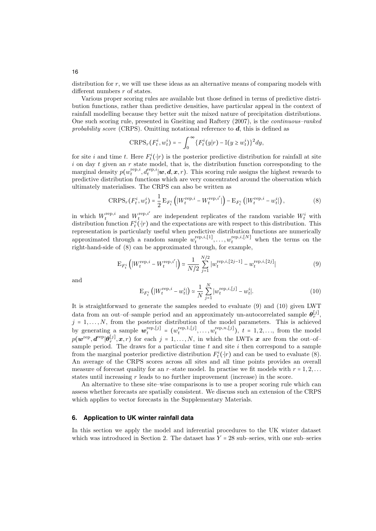distribution for  $r$ , we will use these ideas as an alternative means of comparing models with different numbers r of states.

Various proper scoring rules are available but those defined in terms of predictive distribution functions, rather than predictive densities, have particular appeal in the context of rainfall modelling because they better suit the mixed nature of precipitation distributions. One such scoring rule, presented in Gneiting and Raftery (2007), is the *continuous–ranked probability score* (CRPS). Omitting notational reference to d, this is defined as

$$
\mathrm{CRPS}_r(F_t^i, w_t^i) = -\int_0^\infty \{F_t^i(y|r) - \mathbb{I}(y \geq w_t^i)\}^2 dy,
$$

for site i and time t. Here  $F_t^i(\cdot|r)$  is the posterior predictive distribution for rainfall at site i on day t given an r state model, that is, the distribution function corresponding to the marginal density  $p(w_t^{\text{rep},i}, d_t^{\text{rep},i}|\boldsymbol{w}, \boldsymbol{d}, \boldsymbol{x}, r)$ . This scoring rule assigns the highest rewards to predictive distribution functions which are very concentrated around the observation which ultimately materialises. The CRPS can also be written as

$$
CRPS_r(F_t^i, w_t^i) = \frac{1}{2} E_{F_t^i} \left( |W_t^{\text{rep}, i} - W_t^{\text{rep}, i'}| \right) - E_{F_t^i} \left( |W_t^{\text{rep}, i} - w_t^i| \right), \tag{8}
$$

in which  $W_t^{\text{rep},i}$  and  $W_t^{\text{rep},i'}$  are independent replicates of the random variable  $W_t^i$  with distribution function  $F_t^i(\cdot|r)$  and the expectations are with respect to this distribution. This representation is particularly useful when predictive distribution functions are numerically approximated through a random sample  $w_t^{\text{rep},i,[1]}, \ldots, w_t^{\text{rep},i,[N]}$  when the terms on the right-hand-side of (8) can be approximated through, for example,

$$
\mathcal{E}_{F_t^i} \left( |W_t^{\text{rep},i} - W_t^{\text{rep},i'}| \right) \simeq \frac{1}{N/2} \sum_{j=1}^{N/2} |w_t^{\text{rep},i,[2j-1]} - w_t^{\text{rep},i,[2j]}| \tag{9}
$$

and

$$
\mathcal{E}_{F_t^i} \left( |W_t^{\text{rep}, i} - w_t^i| \right) \simeq \frac{1}{N} \sum_{j=1}^N |w_t^{\text{rep}, i, [j]} - w_t^i|.
$$
 (10)

It is straightforward to generate the samples needed to evaluate (9) and (10) given LWT data from an out–of–sample period and an approximately un-autocorrelated sample  $\theta_r^{[j]}$ ,  $j = 1, \ldots, N$ , from the posterior distribution of the model parameters. This is achieved by generating a sample  $\boldsymbol{w}_t^{\text{rep},[j]} = (w_t^{\text{rep},1,[j]}, \ldots, w_t^{\text{rep},n,[j]}), t = 1, 2, \ldots$ , from the model  $p(\boldsymbol{w}^{\text{rep}},\boldsymbol{d}^{\text{rep}}|\boldsymbol{\theta}_r^{[j]},\boldsymbol{x},r)$  for each  $j=1,\ldots,N$ , in which the LWTs  $\boldsymbol{x}$  are from the out–of– sample period. The draws for a particular time  $t$  and site  $i$  then correspond to a sample from the marginal posterior predictive distribution  $F_t^i(\cdot|r)$  and can be used to evaluate (8). An average of the CRPS scores across all sites and all time points provides an overall measure of forecast quality for an r–state model. In practise we fit models with  $r = 1, 2, \ldots$ states until increasing r leads to no further improvement (increase) in the score.

An alternative to these site–wise comparisons is to use a proper scoring rule which can assess whether forecasts are spatially consistent. We discuss such an extension of the CRPS which applies to vector forecasts in the Supplementary Materials.

# **6. Application to UK winter rainfall data**

In this section we apply the model and inferential procedures to the UK winter dataset which was introduced in Section 2. The dataset has  $Y = 28$  sub–series, with one sub–series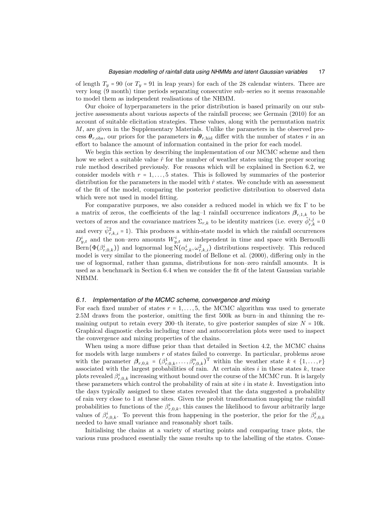of length  $T_y = 90$  (or  $T_y = 91$  in leap years) for each of the 28 calendar winters. There are very long (9 month) time periods separating consecutive sub–series so it seems reasonable to model them as independent realisations of the NHMM.

Our choice of hyperparameters in the prior distribution is based primarily on our subjective assessments about various aspects of the rainfall process; see Germain (2010) for an account of suitable elicitation strategies. These values, along with the permutation matrix M, are given in the Supplementary Materials. Unlike the parameters in the observed process  $\theta_{r,\text{obs}}$ , our priors for the parameters in  $\theta_{r,\text{hid}}$  differ with the number of states r in an effort to balance the amount of information contained in the prior for each model.

We begin this section by describing the implementation of our MCMC scheme and then how we select a suitable value  $\hat{r}$  for the number of weather states using the proper scoring rule method described previously. For reasons which will be explained in Section 6.2, we consider models with  $r = 1, \ldots, 5$  states. This is followed by summaries of the posterior distribution for the parameters in the model with  $\hat{r}$  states. We conclude with an assessment of the fit of the model, comparing the posterior predictive distribution to observed data which were not used in model fitting.

For comparative purposes, we also consider a reduced model in which we fix  $\Gamma$  to be a matrix of zeros, the coefficients of the lag-1 rainfall occurrence indicators  $\beta_{r,1,k}$  to be vectors of zeros and the covariance matrices  $\Sigma_{r,k}$  to be identity matrices (i.e. every  $\tilde{\phi}_{r,k}^{i,j} = 0$ and every  $\tilde{\psi}_{r,k,i}^2 = 1$ ). This produces a within-state model in which the rainfall occurrences  $D_{y,t}^i$  and the non–zero amounts  $W_{y,t}^i$  are independent in time and space with Bernoulli  $\text{Bern}\{\Phi(\beta_{r,0,k}^i)\}\$ and lognormal  $\log N(\alpha_{r,k}^i, \omega_{r,k,i}^2)$  distributions respectively. This reduced model is very similar to the pioneering model of Bellone et al. (2000), differing only in the use of lognormal, rather than gamma, distributions for non–zero rainfall amounts. It is used as a benchmark in Section 6.4 when we consider the fit of the latent Gaussian variable NHMM.

#### *6.1. Implementation of the MCMC scheme, convergence and mixing*

For each fixed number of states  $r = 1, \ldots, 5$ , the MCMC algorithm was used to generate 2.5M draws from the posterior, omitting the first 500k as burn–in and thinning the remaining output to retain every 200-th iterate, to give posterior samples of size  $N = 10k$ . Graphical diagnostic checks including trace and autocorrelation plots were used to inspect the convergence and mixing properties of the chains.

When using a more diffuse prior than that detailed in Section 4.2, the MCMC chains for models with large numbers r of states failed to converge. In particular, problems arose with the parameter  $\beta_{r,0,k} = (\beta_{r,0,k}^1, \ldots, \beta_{r,0,k}^n)^T$  within the weather state  $k \in \{1, \ldots, r\}$ associated with the largest probabilities of rain. At certain sites  $i$  in these states  $k$ , trace plots revealed  $\beta_{r,0,k}^i$  increasing without bound over the course of the MCMC run. It is largely these parameters which control the probability of rain at site  $i$  in state  $k$ . Investigation into the days typically assigned to these states revealed that the data suggested a probability of rain very close to 1 at these sites. Given the probit transformation mapping the rainfall probabilities to functions of the  $\beta_{r,0,k}^i$ , this causes the likelihood to favour arbitrarily large values of  $\beta_{r,0,k}^i$ . To prevent this from happening in the posterior, the prior for the  $\beta_{r,0,k}^i$ needed to have small variance and reasonably short tails.

Initialising the chains at a variety of starting points and comparing trace plots, the various runs produced essentially the same results up to the labelling of the states. Conse-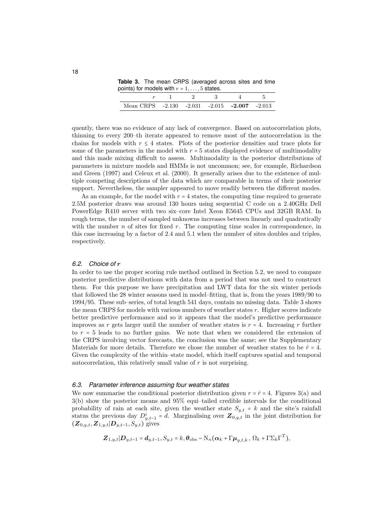**Table 3.** The mean CRPS (averaged across sites and time points) for models with  $r = 1, \ldots, 5$  states.

| Mean CRPS $-2.130 -2.031 -2.015 -2.007 -2.013$ |  |  |  |  |
|------------------------------------------------|--|--|--|--|

quently, there was no evidence of any lack of convergence. Based on autocorrelation plots, thinning to every 200–th iterate appeared to remove most of the autocorrelation in the chains for models with  $r \leq 4$  states. Plots of the posterior densities and trace plots for some of the parameters in the model with  $r = 5$  states displayed evidence of multimodality and this made mixing difficult to assess. Multimodality in the posterior distributions of parameters in mixture models and HMMs is not uncommon; see, for example, Richardson and Green (1997) and Celeux et al. (2000). It generally arises due to the existence of multiple competing descriptions of the data which are comparable in terms of their posterior support. Nevertheless, the sampler appeared to move readily between the different modes.

As an example, for the model with  $r = 4$  states, the computing time required to generate 2.5M posterior draws was around 130 hours using sequential C code on a 2.40GHz Dell PowerEdge R410 server with two six–core Intel Xeon E5645 CPUs and 32GB RAM. In rough terms, the number of sampled unknowns increases between linearly and quadratically with the number  $n$  of sites for fixed  $r$ . The computing time scales in correspondence, in this case increasing by a factor of 2.4 and 5.1 when the number of sites doubles and triples, respectively.

#### *6.2. Choice of* r

In order to use the proper scoring rule method outlined in Section 5.2, we need to compare posterior predictive distributions with data from a period that was not used to construct them. For this purpose we have precipitation and LWT data for the six winter periods that followed the 28 winter seasons used in model–fitting, that is, from the years 1989/90 to 1994/95. These sub–series, of total length 541 days, contain no missing data. Table 3 shows the mean CRPS for models with various numbers of weather states  $r$ . Higher scores indicate better predictive performance and so it appears that the model's predictive performance improves as r gets larger until the number of weather states is  $r = 4$ . Increasing r further to  $r = 5$  leads to no further gains. We note that when we considered the extension of the CRPS involving vector forecasts, the conclusion was the same; see the Supplementary Materials for more details. Therefore we chose the number of weather states to be  $\hat{r} = 4$ . Given the complexity of the within–state model, which itself captures spatial and temporal autocorrelation, this relatively small value of  $r$  is not surprising.

## *6.3. Parameter inference assuming four weather states*

We now summarise the conditional posterior distribution given  $r = \hat{r} = 4$ . Figures 3(a) and 3(b) show the posterior means and 95% equi–tailed credible intervals for the conditional probability of rain at each site, given the weather state  $S_{y,t} = k$  and the site's rainfall status the previous day  $D_{y,t-1}^i = d$ . Marginalising over  $\mathbf{Z}_{0,y,t}$  in the joint distribution for  $(Z_{0,y,t}, Z_{1,y,t}|D_{y,t-1}, S_{y,t})$  gives

$$
\mathbf{Z}_{1,y,t}|\mathbf{D}_{y,t-1}=\mathbf{d}_{y,t-1},S_{y,t}=k,\boldsymbol{\theta}_{\text{obs}}\sim\mathrm{N}_n(\boldsymbol{\alpha}_k+\Gamma\boldsymbol{\mu}_{y,t,k},\Omega_k+\Gamma\Sigma_k\Gamma^{\mathrm{T}}),
$$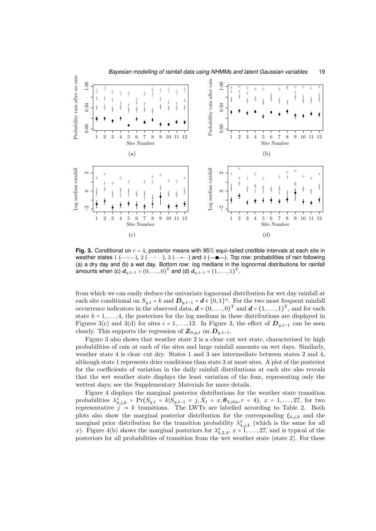

**Fig. 3.** Conditional on  $r = 4$ , posterior means with 95% equi-tailed credible intervals at each site in weather states  $1$  ( $\rightarrow \sim$ ),  $2$  ( $\rightarrow \sim \sim$ ),  $3$  ( $\rightarrow \infty$ ) and  $4$  ( $\rightarrow \infty$ ). Top row: probabilities of rain following (a) a dry day and (b) a wet day. Bottom row: log medians in the lognormal distributions for rainfall amounts when (c)  $d_{y,t-1} = (0, \ldots, 0)^{\mathrm{T}}$  and (d)  $d_{y,t-1} = (1, \ldots, 1)^{\mathrm{T}}$ .

from which we can easily deduce the univariate lognormal distribution for wet day rainfall at each site conditional on  $S_{y,t} = k$  and  $D_{y,t-1} = d \in \{0,1\}^n$ . For the two most frequent rainfall occurrence indicators in the observed data,  $\mathbf{d} = (0, \ldots, 0)^{\mathrm{T}}$  and  $\mathbf{d} = (1, \ldots, 1)^{\mathrm{T}}$ , and for each state  $k = 1, \ldots, 4$ , the posteriors for the log medians in these distributions are displayed in Figures 3(c) and 3(d) for sites  $i = 1, ..., 12$ . In Figure 3, the effect of  $D_{y,t-1}$  can be seen clearly. This supports the regression of  $\mathbf{Z}_{0,y,t}$  on  $\mathbf{D}_{y,t-1}$ .

Figure 3 also shows that weather state 2 is a clear–cut wet state, characterised by high probabilities of rain at each of the sites and large rainfall amounts on wet days. Similarly, weather state 4 is clear–cut dry. States 1 and 3 are intermediate between states 2 and 4, although state 1 represents drier conditions than state 3 at most sites. A plot of the posterior for the coefficients of variation in the daily rainfall distributions at each site also reveals that the wet weather state displays the least variation of the four, representing only the wettest days; see the Supplementary Materials for more details.

Figure 4 displays the marginal posterior distributions for the weather state transition probabilities  $\lambda_{4,j,k}^x = \Pr(S_{y,t} = k | S_{y,t-1} = j, X_t = x, \theta_{3,\text{obs}}, r = 4), x = 1, ..., 27$ , for two representative  $j \rightarrow k$  transitions. The LWTs are labelled according to Table 2. Both plots also show the marginal posterior distribution for the corresponding  $\xi_{4,i,k}$  and the marginal prior distribution for the transition probability  $\lambda^x_{4,j,k}$  (which is the same for all x). Figure 4(b) shows the marginal posteriors for  $\lambda_{4,2,4}^x$ ,  $x = 1, \ldots, 27$ , and is typical of the posteriors for all probabilities of transition from the wet weather state (state 2). For these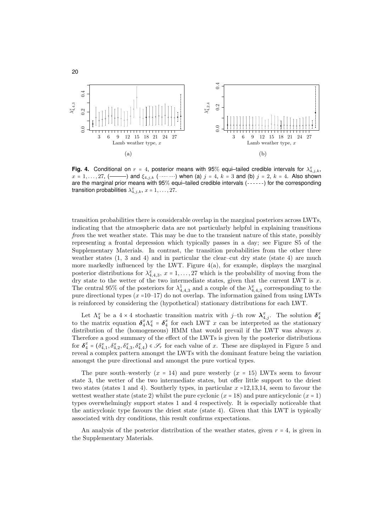

20

**Fig. 4.** Conditional on  $r = 4$ , posterior means with 95% equi-tailed credible intervals for  $\lambda^x_{4,j,k}$ ,  $x = 1, \ldots, 27, (-$  and  $\xi_{4,j,k}$  (  $\ldots \ldots$  ) when (a)  $j = 4, k = 3$  and (b)  $j = 2, k = 4$ . Also shown are the marginal prior means with 95% equi-tailed credible intervals (------) for the corresponding transition probabilities  $\lambda^x_{4,j,k}$ ,  $x = 1, \ldots, 27$ .

transition probabilities there is considerable overlap in the marginal posteriors across LWTs, indicating that the atmospheric data are not particularly helpful in explaining transitions *from* the wet weather state. This may be due to the transient nature of this state, possibly representing a frontal depression which typically passes in a day; see Figure S5 of the Supplementary Materials. In contrast, the transition probabilities from the other three weather states  $(1, 3 \text{ and } 4)$  and in particular the clear–cut dry state (state 4) are much more markedly influenced by the LWT. Figure 4(a), for example, displays the marginal posterior distributions for  $\lambda_{4,4,3}^x$ ,  $x = 1, \ldots, 27$  which is the probability of moving from the dry state to the wetter of the two intermediate states, given that the current LWT is  $x$ . The central 95% of the posteriors for  $\lambda_{4,4,3}^1$  and a couple of the  $\lambda_{4,4,3}^x$  corresponding to the pure directional types  $(x=10-17)$  do not overlap. The information gained from using LWTs is reinforced by considering the (hypothetical) stationary distributions for each LWT.

Let  $\Lambda_4^x$  be a 4 × 4 stochastic transition matrix with j-th row  $\lambda_{4,j}^x$ . The solution  $\delta_4^x$ to the matrix equation  $\delta_4^x \Lambda_4^x = \delta_4^x$  for each LWT x can be interpreted as the stationary distribution of the (homogeneous) HMM that would prevail if the LWT was always  $x$ . Therefore a good summary of the effect of the LWTs is given by the posterior distributions for  $\delta_4^x = (\delta_{4,1}^x, \delta_{4,2}^x, \delta_{4,3}^x, \delta_{4,4}^x) \in \mathscr{S}_r$  for each value of x. These are displayed in Figure 5 and reveal a complex pattern amongst the LWTs with the dominant feature being the variation amongst the pure directional and amongst the pure vortical types.

The pure south–westerly  $(x = 14)$  and pure westerly  $(x = 15)$  LWTs seem to favour state 3, the wetter of the two intermediate states, but offer little support to the driest two states (states 1 and 4). Southerly types, in particular  $x = 12,13,14$ , seem to favour the wettest weather state (state 2) whilst the pure cyclonic  $(x = 18)$  and pure anticyclonic  $(x = 1)$ types overwhelmingly support states 1 and 4 respectively. It is especially noticeable that the anticyclonic type favours the driest state (state 4). Given that this LWT is typically associated with dry conditions, this result confirms expectations.

An analysis of the posterior distribution of the weather states, given  $r = 4$ , is given in the Supplementary Materials.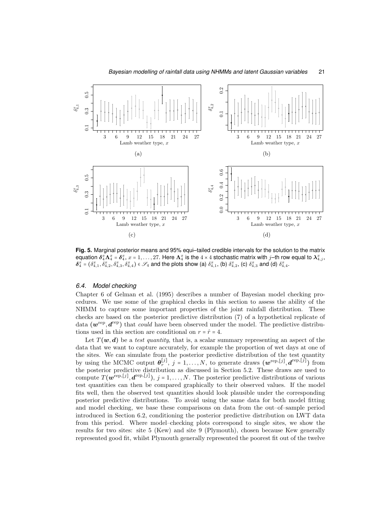

**Fig. 5.** Marginal posterior means and 95% equi–tailed credible intervals for the solution to the matrix equation  $\delta^x_4\Lambda^x_4=\delta^x_4$ ,  $x=1,\ldots,27.$  Here  $\Lambda^x_4$  is the  $4\times 4$  stochastic matrix with  $j$ –th row equal to  $\lambda^x_{4,j},$  $\delta_4^x = (\delta_{4,1}^x, \delta_{4,2}^x, \delta_{4,3}^x, \delta_{4,4}^x) \in \mathscr{S}_4$  and the plots show (a)  $\delta_{4,1}^x$ , (b)  $\delta_{4,2}^x$ , (c)  $\delta_{4,3}^x$  and (d)  $\delta_{4,4}^x$ .

## *6.4. Model checking*

Chapter 6 of Gelman et al. (1995) describes a number of Bayesian model checking procedures. We use some of the graphical checks in this section to assess the ability of the NHMM to capture some important properties of the joint rainfall distribution. These checks are based on the posterior predictive distribution (7) of a hypothetical replicate of data  $(w^{\text{rep}}, d^{\text{rep}})$  that *could* have been observed under the model. The predictive distributions used in this section are conditional on  $r = \hat{r} = 4$ .

Let  $T(\mathbf{w},\mathbf{d})$  be a *test quantity*, that is, a scalar summary representing an aspect of the data that we want to capture accurately, for example the proportion of wet days at one of the sites. We can simulate from the posterior predictive distribution of the test quantity by using the MCMC output  $\theta_r^{[j]}$ ,  $j = 1, ..., N$ , to generate draws  $(\mathbf{w}^{\text{rep},[j]}, \mathbf{d}^{\text{rep},[j]})$  from the posterior predictive distribution as discussed in Section 5.2. These draws are used to compute  $T(\mathbf{w}^{\text{rep}, [j]}, \mathbf{d}^{\text{rep}, [j]})$ ,  $j = 1, \ldots, N$ . The posterior predictive distributions of various test quantities can then be compared graphically to their observed values. If the model fits well, then the observed test quantities should look plausible under the corresponding posterior predictive distributions. To avoid using the same data for both model fitting and model checking, we base these comparisons on data from the out–of–sample period introduced in Section 6.2, conditioning the posterior predictive distribution on LWT data from this period. Where model–checking plots correspond to single sites, we show the results for two sites: site 5 (Kew) and site 9 (Plymouth), chosen because Kew generally represented good fit, whilst Plymouth generally represented the poorest fit out of the twelve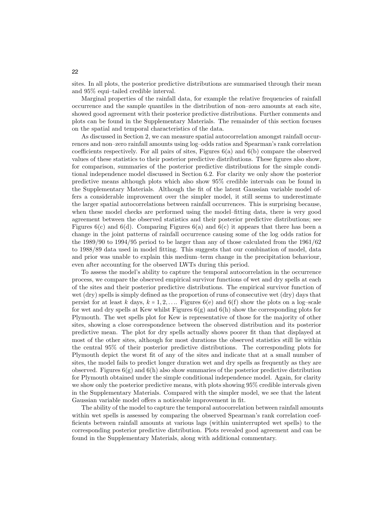sites. In all plots, the posterior predictive distributions are summarised through their mean and 95% equi–tailed credible interval.

Marginal properties of the rainfall data, for example the relative frequencies of rainfall occurrence and the sample quantiles in the distribution of non–zero amounts at each site, showed good agreement with their posterior predictive distributions. Further comments and plots can be found in the Supplementary Materials. The remainder of this section focuses on the spatial and temporal characteristics of the data.

As discussed in Section 2, we can measure spatial autocorrelation amongst rainfall occurrences and non–zero rainfall amounts using log–odds ratios and Spearman's rank correlation coefficients respectively. For all pairs of sites, Figures 6(a) and 6(b) compare the observed values of these statistics to their posterior predictive distributions. These figures also show, for comparison, summaries of the posterior predictive distributions for the simple conditional independence model discussed in Section 6.2. For clarity we only show the posterior predictive means although plots which also show 95% credible intervals can be found in the Supplementary Materials. Although the fit of the latent Gaussian variable model offers a considerable improvement over the simpler model, it still seems to underestimate the larger spatial autocorrelations between rainfall occurrences. This is surprising because, when these model checks are performed using the model–fitting data, there is very good agreement between the observed statistics and their posterior predictive distributions; see Figures  $6(c)$  and  $6(d)$ . Comparing Figures  $6(a)$  and  $6(c)$  it appears that there has been a change in the joint patterns of rainfall occurrence causing some of the log odds ratios for the 1989/90 to 1994/95 period to be larger than any of those calculated from the 1961/62 to 1988/89 data used in model fitting. This suggests that our combination of model, data and prior was unable to explain this medium–term change in the precipitation behaviour, even after accounting for the observed LWTs during this period.

To assess the model's ability to capture the temporal autocorrelation in the occurrence process, we compare the observed empirical survivor functions of wet and dry spells at each of the sites and their posterior predictive distributions. The empirical survivor function of wet (dry) spells is simply defined as the proportion of runs of consecutive wet (dry) days that persist for at least k days,  $k = 1, 2, \ldots$  Figures 6(e) and 6(f) show the plots on a log–scale for wet and dry spells at Kew whilst Figures  $6(g)$  and  $6(h)$  show the corresponding plots for Plymouth. The wet spells plot for Kew is representative of those for the majority of other sites, showing a close correspondence between the observed distribution and its posterior predictive mean. The plot for dry spells actually shows poorer fit than that displayed at most of the other sites, although for most durations the observed statistics still lie within the central 95% of their posterior predictive distributions. The corresponding plots for Plymouth depict the worst fit of any of the sites and indicate that at a small number of sites, the model fails to predict longer duration wet and dry spells as frequently as they are observed. Figures  $6(g)$  and  $6(h)$  also show summaries of the posterior predictive distribution for Plymouth obtained under the simple conditional independence model. Again, for clarity we show only the posterior predictive means, with plots showing 95% credible intervals given in the Supplementary Materials. Compared with the simpler model, we see that the latent Gaussian variable model offers a noticeable improvement in fit.

The ability of the model to capture the temporal autocorrelation between rainfall amounts within wet spells is assessed by comparing the observed Spearman's rank correlation coefficients between rainfall amounts at various lags (within uninterrupted wet spells) to the corresponding posterior predictive distribution. Plots revealed good agreement and can be found in the Supplementary Materials, along with additional commentary.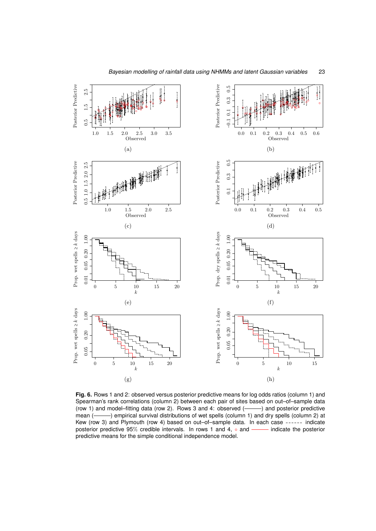

**Fig. 6.** Rows 1 and 2: observed versus posterior predictive means for log odds ratios (column 1) and Spearman's rank correlations (column 2) between each pair of sites based on out–of–sample data (row 1) and model–fitting data (row 2). Rows 3 and 4: observed  $($ ——) and posterior predictive mean (- ) empirical survival distributions of wet spells (column 1) and dry spells (column 2) at Kew (row 3) and Plymouth (row 4) based on out–of–sample data. In each case ------ indicate posterior predictive  $95\%$  credible intervals. In rows 1 and 4,  $\circ$  and —— indicate the posterior posterior predictive 95% credible intervals. In rows 1 and 4,  $\circ$  and predictive means for the simple conditional independence model.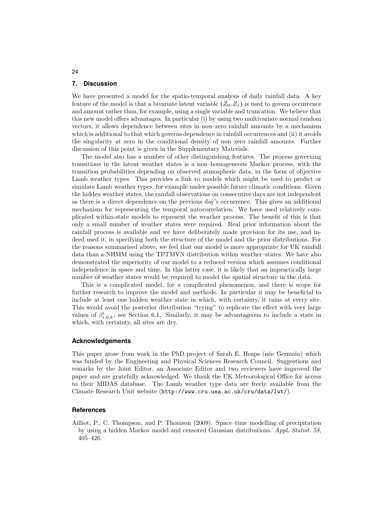#### **7. Discussion**

We have presented a model for the spatio-temporal analysis of daily rainfall data. A key feature of the model is that a bivariate latent variable  $(Z_0, Z_1)$  is used to govern occurrence and amount rather than, for example, using a single variable and truncation. We believe that this new model offers advantages. In particular (i) by using two multivariate normal random vectors, it allows dependence between sites in non–zero rainfall amounts by a mechanism which is additional to that which governs dependence in rainfall occurrences and (ii) it avoids the singularity at zero in the conditional density of non–zero rainfall amounts. Further discussion of this point is given in the Supplementary Materials.

The model also has a number of other distinguishing features. The process governing transitions in the latent weather states is a non–homogeneous Markov process, with the transition probabilities depending on observed atmospheric data, in the form of objective Lamb weather types. This provides a link to models which might be used to predict or simulate Lamb weather types, for example under possible future climatic conditions. Given the hidden weather states, the rainfall observations on consecutive days are not independent as there is a direct dependence on the previous day's occurrence. This gives an additional mechanism for representing the temporal autocorrelation. We have used relatively complicated within-state models to represent the weather process. The benefit of this is that only a small number of weather states were required. Real prior information about the rainfall process is available and we have deliberately made provision for its use, and indeed used it, in specifying both the structure of the model and the prior distributions. For the reasons summarised above, we feel that our model is more appropriate for UK rainfall data than a NHMM using the TPTMVN distribution within weather–states. We have also demonstrated the superiority of our model to a reduced version which assumes conditional independence in space and time. In this latter case, it is likely that an impractically large number of weather states would be required to model the spatial structure in the data.

This is a complicated model, for a complicated phenomenon, and there is scope for further research to improve the model and methods. In particular it may be beneficial to include at least one hidden weather state in which, with certainty, it rains at every site. This would avoid the posterior distribution "trying" to replicate the effect with very large values of  $\beta^i_{r,0,k}$ ; see Section 6.1. Similarly, it may be advantageous to include a state in which, with certainty, all sites are dry.

#### **Acknowledgements**

This paper arose from work in the PhD project of Sarah E. Heaps (née Germain) which was funded by the Engineering and Physical Sciences Research Council. Suggestions and remarks by the Joint Editor, an Associate Editor and two reviewers have improved the paper and are gratefully acknowledged. We thank the UK Meteorological Office for access to their MIDAS database. The Lamb weather type data are freely available from the Climate Research Unit website (http://www.cru.uea.ac.uk/cru/data/lwt/).

#### **References**

Ailliot, P., C. Thompson, and P. Thomson (2009). Space–time modelling of precipitation by using a hidden Markov model and censored Gaussian distributions. *Appl. Statist. 58*, 405–426.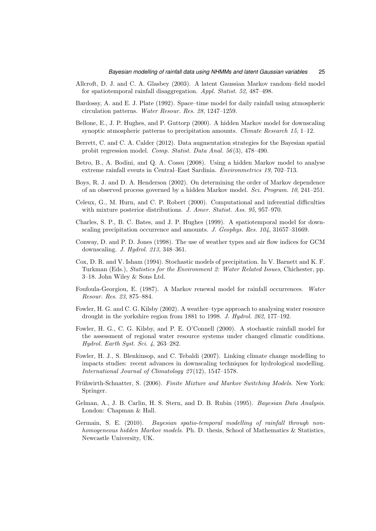- Allcroft, D. J. and C. A. Glasbey (2003). A latent Gaussian Markov random–field model for spatiotemporal rainfall disaggregation. *Appl. Statist. 52*, 487–498.
- Bardossy, A. and E. J. Plate (1992). Space–time model for daily rainfall using atmospheric circulation patterns. *Water Resour. Res. 28*, 1247–1259.
- Bellone, E., J. P. Hughes, and P. Guttorp (2000). A hidden Markov model for downscaling synoptic atmospheric patterns to precipitation amounts. *Climate Research 15*, 1–12.
- Berrett, C. and C. A. Calder (2012). Data augmentation strategies for the Bayesian spatial probit regression model. *Comp. Statist. Data Anal. 56* (3), 478–490.
- Betro, B., A. Bodini, and Q. A. Cossu (2008). Using a hidden Markov model to analyse extreme rainfall events in Central–East Sardinia. *Environmetrics 19*, 702–713.
- Boys, R. J. and D. A. Henderson (2002). On determining the order of Markov dependence of an observed process governed by a hidden Markov model. *Sci. Program. 10*, 241–251.
- Celeux, G., M. Hurn, and C. P. Robert (2000). Computational and inferential difficulties with mixture posterior distributions. *J. Amer. Statist. Ass. 95*, 957–970.
- Charles, S. P., B. C. Bates, and J. P. Hughes (1999). A spatiotemporal model for downscaling precipitation occurrence and amounts. *J. Geophys. Res. 104*, 31657–31669.
- Conway, D. and P. D. Jones (1998). The use of weather types and air flow indices for GCM downscaling. *J. Hydrol. 213*, 348–361.
- Cox, D. R. and V. Isham (1994). Stochastic models of precipitation. In V. Barnett and K. F. Turkman (Eds.), *Statistics for the Environment 2: Water Related Issues*, Chichester, pp. 3–18. John Wiley & Sons Ltd.
- Foufoula-Georgiou, E. (1987). A Markov renewal model for rainfall occurrences. *Water Resour. Res. 23*, 875–884.
- Fowler, H. G. and C. G. Kilsby (2002). A weather–type approach to analysing water resource drought in the yorkshire region from 1881 to 1998. *J. Hydrol. 262*, 177–192.
- Fowler, H. G., C. G. Kilsby, and P. E. O'Connell (2000). A stochastic rainfall model for the assessment of regional water resource systems under changed climatic conditions. *Hydrol. Earth Syst. Sci. 4*, 263–282.
- Fowler, H. J., S. Blenkinsop, and C. Tebaldi (2007). Linking climate change modelling to impacts studies: recent advances in downscaling techniques for hydrological modelling. *International Journal of Climatology 27* (12), 1547–1578.
- Frühwirth-Schnatter, S. (2006). *Finite Mixture and Markov Switching Models*. New York: Springer.
- Gelman, A., J. B. Carlin, H. S. Stern, and D. B. Rubin (1995). *Bayesian Data Analysis*. London: Chapman & Hall.
- Germain, S. E. (2010). *Bayesian spatio-temporal modelling of rainfall through nonhomogeneous hidden Markov models*. Ph. D. thesis, School of Mathematics & Statistics, Newcastle University, UK.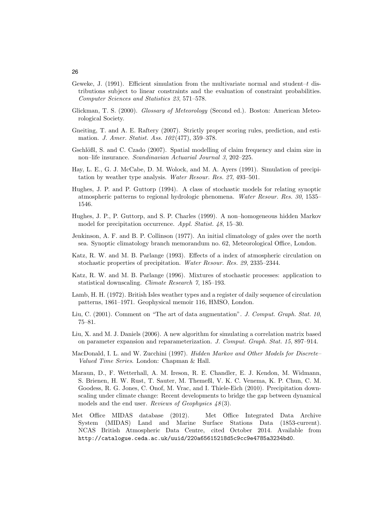- Geweke, J. (1991). Efficient simulation from the multivariate normal and student–t distributions subject to linear constraints and the evaluation of constraint probabilities. *Computer Sciences and Statistics 23*, 571–578.
- Glickman, T. S. (2000). *Glossary of Meteorology* (Second ed.). Boston: American Meteorological Society.
- Gneiting, T. and A. E. Raftery (2007). Strictly proper scoring rules, prediction, and estimation. *J. Amer. Statist. Ass. 102* (477), 359–378.
- Gschlößl, S. and C. Czado (2007). Spatial modelling of claim frequency and claim size in non–life insurance. *Scandinavian Actuarial Journal 3*, 202–225.
- Hay, L. E., G. J. McCabe, D. M. Wolock, and M. A. Ayers (1991). Simulation of precipitation by weather type analysis. *Water Resour. Res. 27*, 493–501.
- Hughes, J. P. and P. Guttorp (1994). A class of stochastic models for relating synoptic atmospheric patterns to regional hydrologic phenomena. *Water Resour. Res. 30*, 1535– 1546.
- Hughes, J. P., P. Guttorp, and S. P. Charles (1999). A non–homogeneous hidden Markov model for precipitation occurrence. *Appl. Statist. 48*, 15–30.
- Jenkinson, A. F. and B. P. Collinson (1977). An initial climatology of gales over the north sea. Synoptic climatology branch memorandum no. 62, Meteorological Office, London.
- Katz, R. W. and M. B. Parlange (1993). Effects of a index of atmospheric circulation on stochastic properties of precipitation. *Water Resour. Res. 29*, 2335–2344.
- Katz, R. W. and M. B. Parlange (1996). Mixtures of stochastic processes: application to statistical downscaling. *Climate Research 7*, 185–193.
- Lamb, H. H. (1972). British Isles weather types and a register of daily sequence of circulation patterns, 1861–1971. Geophysical memoir 116, HMSO, London.
- Liu, C. (2001). Comment on "The art of data augmentation". *J. Comput. Graph. Stat. 10*, 75–81.
- Liu, X. and M. J. Daniels (2006). A new algorithm for simulating a correlation matrix based on parameter expansion and reparameterization. *J. Comput. Graph. Stat. 15*, 897–914.
- MacDonald, I. L. and W. Zucchini (1997). *Hidden Markov and Other Models for Discrete– Valued Time Series*. London: Chapman & Hall.
- Maraun, D., F. Wetterhall, A. M. Ireson, R. E. Chandler, E. J. Kendon, M. Widmann, S. Brienen, H. W. Rust, T. Sauter, M. Themeßl, V. K. C. Venema, K. P. Chun, C. M. Goodess, R. G. Jones, C. Onof, M. Vrac, and I. Thiele-Eich (2010). Precipitation downscaling under climate change: Recent developments to bridge the gap between dynamical models and the end user. *Reviews of Geophysics 48* (3).
- Met Office MIDAS database (2012). Met Office Integrated Data Archive System (MIDAS) Land and Marine Surface Stations Data (1853-current). NCAS British Atmospheric Data Centre, cited October 2014. Available from http://catalogue.ceda.ac.uk/uuid/220a65615218d5c9cc9e4785a3234bd0.